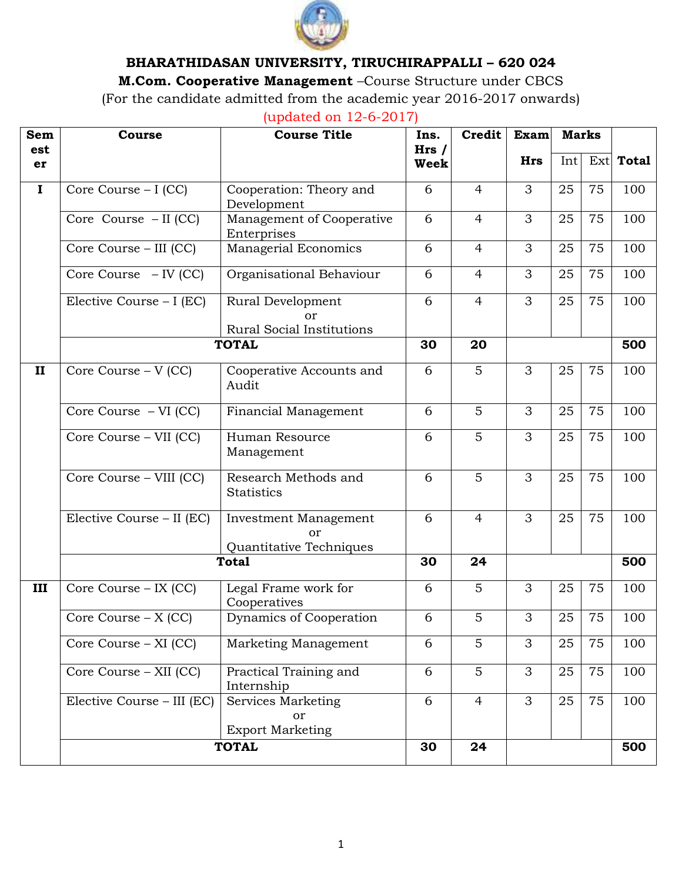

# **BHARATHIDASAN UNIVERSITY, TIRUCHIRAPPALLI – 620 024**

**M.Com. Cooperative Management** –Course Structure under CBCS

(For the candidate admitted from the academic year 2016-2017 onwards)

(updated on 12-6-2017)

| <b>Sem</b>   | Course                                    | <b>Course Title</b>                                    | Ins.                | Credit         | Exam       | <b>Marks</b> |     |             |
|--------------|-------------------------------------------|--------------------------------------------------------|---------------------|----------------|------------|--------------|-----|-------------|
| est<br>er    |                                           |                                                        | Hrs/<br><b>Week</b> |                | <b>Hrs</b> | Int          |     | $Ext$ Total |
| $\mathbf I$  | Core Course - I (CC)                      | Cooperation: Theory and<br>Development                 | 6                   | $\overline{4}$ | 3          | 25           | 75  | 100         |
|              | Core Course - II (CC)                     | Management of Cooperative<br>Enterprises               | 6                   | $\overline{4}$ | 3          | 25           | 75  | 100         |
|              | Core Course - III (CC)                    | Managerial Economics                                   | 6                   | $\overline{4}$ | 3          | 25           | 75  | 100         |
|              | Core Course $-$ IV (CC)                   | Organisational Behaviour                               | 6                   | $\overline{4}$ | 3          | 25           | 75  | 100         |
|              | Elective Course $- I$ (EC)                | Rural Development<br>nr<br>Rural Social Institutions   | 6                   | $\overline{4}$ | 3          | 25           | 75  | 100         |
|              |                                           | <b>TOTAL</b>                                           | 30                  | 20             |            |              |     | 500         |
| $\mathbf{I}$ | Core Course - V (CC)                      | Cooperative Accounts and<br>Audit                      | 6                   | 5              | 3          | 25           | 75  | 100         |
|              | $\overline{\text{Core}}$ Course - VI (CC) | Financial Management                                   | 6                   | 5              | 3          | 25           | 75  | 100         |
|              | Core Course - VII (CC)                    | Human Resource<br>Management                           | 6                   | 5              | 3          | 25           | 75  | 100         |
|              | Core Course - VIII (CC)                   | Research Methods and<br><b>Statistics</b>              | 6                   | 5              | 3          | 25           | 75  | 100         |
|              | Elective Course - II (EC)                 | Investment Management<br>or<br>Quantitative Techniques | 6                   | $\overline{4}$ | 3          | 25           | 75  | 100         |
|              | <b>Total</b>                              | 30                                                     | 24                  |                |            |              | 500 |             |
| III          | Core Course - IX (CC)                     | Legal Frame work for<br>Cooperatives                   | 6                   | 5              | 3          | 25           | 75  | 100         |
|              | Core Course $- X (CC)$                    | Dynamics of Cooperation                                | 6                   | 5              | 3          | 25           | 75  | 100         |
|              | Core Course - XI (CC)                     | Marketing Management                                   | 6                   | 5              | 3          | 25           | 75  | 100         |
|              | Core Course - XII (CC)                    | Practical Training and<br>Internship                   | 6                   | 5              | 3          | 25           | 75  | 100         |
|              | Elective Course - III (EC)                | Services Marketing<br>or<br><b>Export Marketing</b>    | 6                   | $\overline{4}$ | 3          | 25           | 75  | 100         |
|              | <b>TOTAL</b>                              | 30                                                     | 24                  |                |            |              | 500 |             |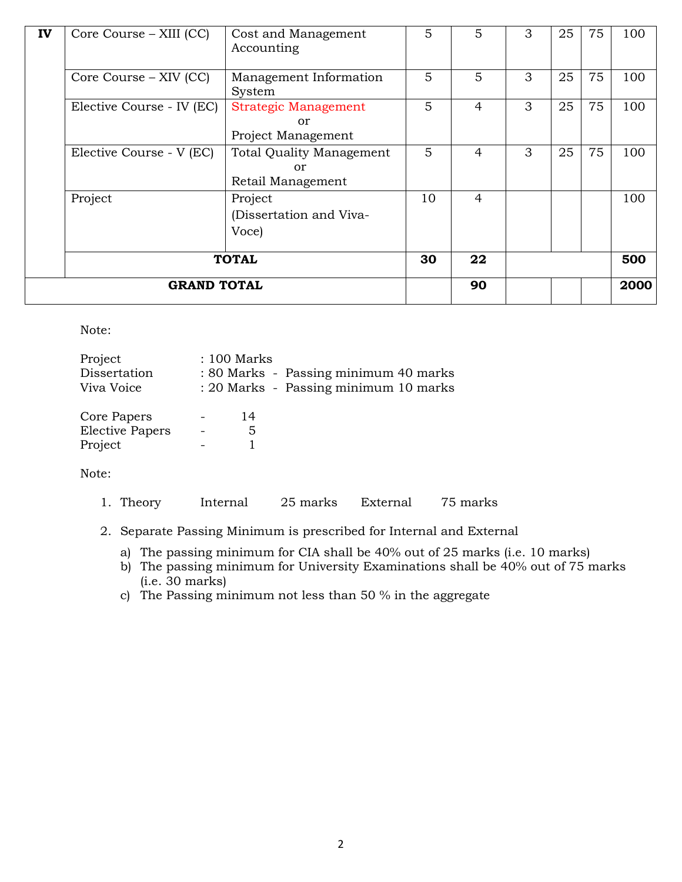| IV | Core Course – XIII (CC)   | Cost and Management<br>Accounting                          | 5  | 5              | 3 | 25 | 75 | 100  |
|----|---------------------------|------------------------------------------------------------|----|----------------|---|----|----|------|
|    | Core Course – XIV (CC)    | Management Information<br>System                           | 5  | 5              | 3 | 25 | 75 | 100  |
|    | Elective Course - IV (EC) | <b>Strategic Management</b><br>or<br>Project Management    | 5  | $\overline{4}$ | 3 | 25 | 75 | 100  |
|    | Elective Course - V (EC)  | <b>Total Quality Management</b><br>or<br>Retail Management | 5  | 4              | 3 | 25 | 75 | 100  |
|    | Project                   | Project<br>(Dissertation and Viva-<br>Voce)                | 10 | 4              |   |    |    | 100  |
|    | <b>TOTAL</b>              |                                                            |    | 22             |   |    |    | 500  |
|    | <b>GRAND TOTAL</b>        |                                                            |    | 90             |   |    |    | 2000 |

Note:

| Project<br>Dissertation<br>Viva Voice            | : 100 Marks | : 80 Marks - Passing minimum 40 marks<br>: 20 Marks - Passing minimum 10 marks |
|--------------------------------------------------|-------------|--------------------------------------------------------------------------------|
| Core Papers<br><b>Elective Papers</b><br>Project | 14<br>5     |                                                                                |

Note:

- 1. Theory Internal 25 marks External 75 marks
- 2. Separate Passing Minimum is prescribed for Internal and External
	- a) The passing minimum for CIA shall be 40% out of 25 marks (i.e. 10 marks)
	- b) The passing minimum for University Examinations shall be 40% out of 75 marks (i.e. 30 marks)
	- c) The Passing minimum not less than 50 % in the aggregate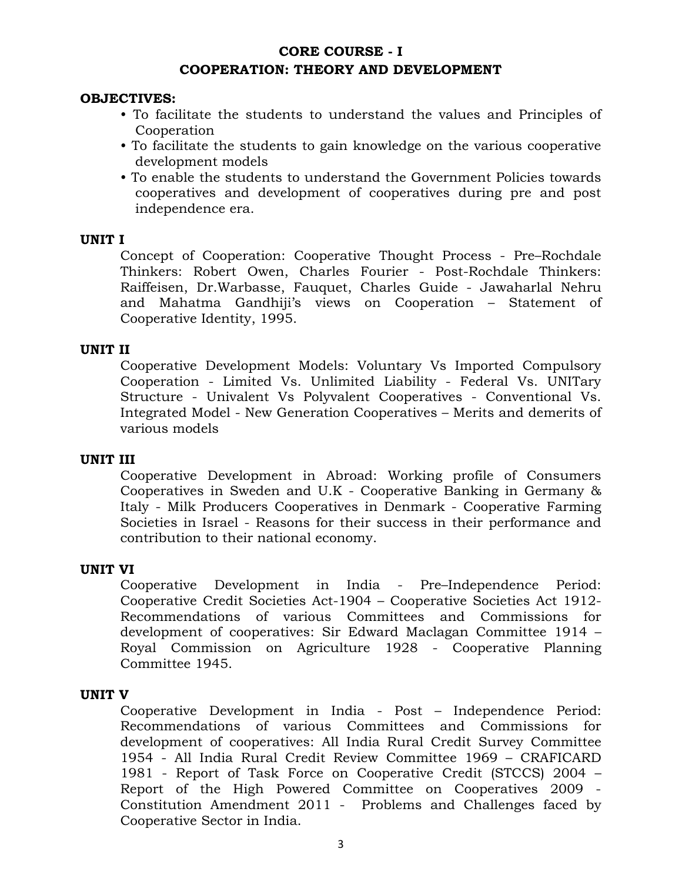# **CORE COURSE - I COOPERATION: THEORY AND DEVELOPMENT**

#### **OBJECTIVES:**

- To facilitate the students to understand the values and Principles of Cooperation
- To facilitate the students to gain knowledge on the various cooperative development models
- To enable the students to understand the Government Policies towards cooperatives and development of cooperatives during pre and post independence era.

### **UNIT I**

Concept of Cooperation: Cooperative Thought Process - Pre–Rochdale Thinkers: Robert Owen, Charles Fourier - Post-Rochdale Thinkers: Raiffeisen, Dr.Warbasse, Fauquet, Charles Guide - Jawaharlal Nehru and Mahatma Gandhiji's views on Cooperation – Statement of Cooperative Identity, 1995.

### **UNIT II**

Cooperative Development Models: Voluntary Vs Imported Compulsory Cooperation - Limited Vs. Unlimited Liability - Federal Vs. UNITary Structure - Univalent Vs Polyvalent Cooperatives - Conventional Vs. Integrated Model - New Generation Cooperatives – Merits and demerits of various models

#### **UNIT III**

Cooperative Development in Abroad: Working profile of Consumers Cooperatives in Sweden and U.K - Cooperative Banking in Germany & Italy - Milk Producers Cooperatives in Denmark - Cooperative Farming Societies in Israel - Reasons for their success in their performance and contribution to their national economy.

#### **UNIT VI**

Cooperative Development in India - Pre–Independence Period: Cooperative Credit Societies Act-1904 – Cooperative Societies Act 1912- Recommendations of various Committees and Commissions for development of cooperatives: Sir Edward Maclagan Committee 1914 – Royal Commission on Agriculture 1928 - Cooperative Planning Committee 1945.

#### **UNIT V**

Cooperative Development in India - Post – Independence Period: Recommendations of various Committees and Commissions for development of cooperatives: All India Rural Credit Survey Committee 1954 - All India Rural Credit Review Committee 1969 – CRAFICARD 1981 - Report of Task Force on Cooperative Credit (STCCS) 2004 – Report of the High Powered Committee on Cooperatives 2009 - Constitution Amendment 2011 - Problems and Challenges faced by Cooperative Sector in India.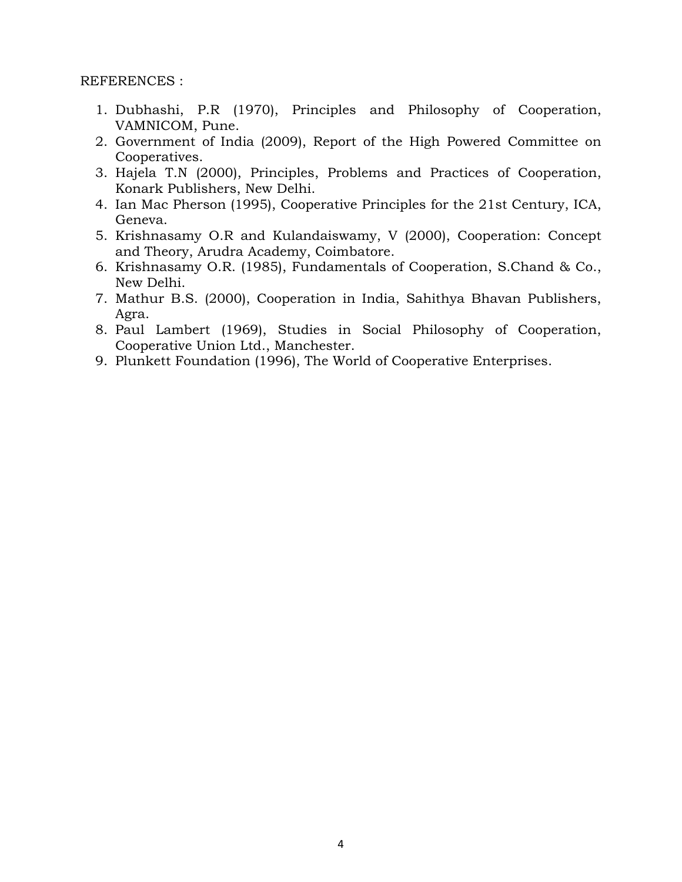- 1. Dubhashi, P.R (1970), Principles and Philosophy of Cooperation, VAMNICOM, Pune.
- 2. Government of India (2009), Report of the High Powered Committee on Cooperatives.
- 3. Hajela T.N (2000), Principles, Problems and Practices of Cooperation, Konark Publishers, New Delhi.
- 4. Ian Mac Pherson (1995), Cooperative Principles for the 21st Century, ICA, Geneva.
- 5. Krishnasamy O.R and Kulandaiswamy, V (2000), Cooperation: Concept and Theory, Arudra Academy, Coimbatore.
- 6. Krishnasamy O.R. (1985), Fundamentals of Cooperation, S.Chand & Co., New Delhi.
- 7. Mathur B.S. (2000), Cooperation in India, Sahithya Bhavan Publishers, Agra.
- 8. Paul Lambert (1969), Studies in Social Philosophy of Cooperation, Cooperative Union Ltd., Manchester.
- 9. Plunkett Foundation (1996), The World of Cooperative Enterprises.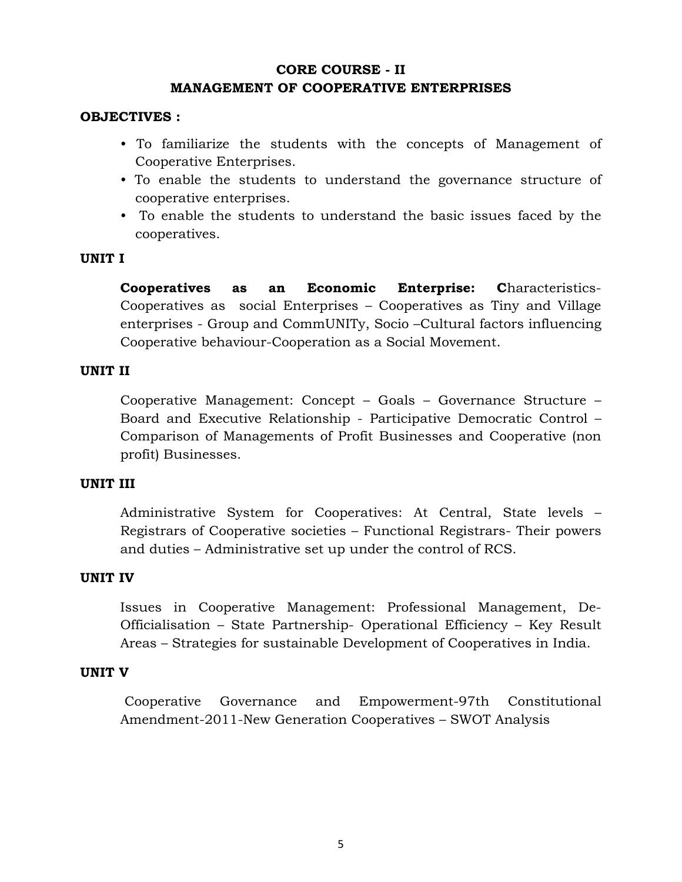# **CORE COURSE - II MANAGEMENT OF COOPERATIVE ENTERPRISES**

## **OBJECTIVES :**

- To familiarize the students with the concepts of Management of Cooperative Enterprises.
- To enable the students to understand the governance structure of cooperative enterprises.
- To enable the students to understand the basic issues faced by the cooperatives.

## **UNIT I**

**Cooperatives as an Economic Enterprise: C**haracteristics-Cooperatives as social Enterprises – Cooperatives as Tiny and Village enterprises - Group and CommUNITy, Socio –Cultural factors influencing Cooperative behaviour-Cooperation as a Social Movement.

## **UNIT II**

Cooperative Management: Concept – Goals – Governance Structure – Board and Executive Relationship - Participative Democratic Control – Comparison of Managements of Profit Businesses and Cooperative (non profit) Businesses.

## **UNIT III**

Administrative System for Cooperatives: At Central, State levels – Registrars of Cooperative societies – Functional Registrars- Their powers and duties – Administrative set up under the control of RCS.

## **UNIT IV**

Issues in Cooperative Management: Professional Management, De-Officialisation – State Partnership- Operational Efficiency – Key Result Areas – Strategies for sustainable Development of Cooperatives in India.

## **UNIT V**

 Cooperative Governance and Empowerment-97th Constitutional Amendment-2011-New Generation Cooperatives – SWOT Analysis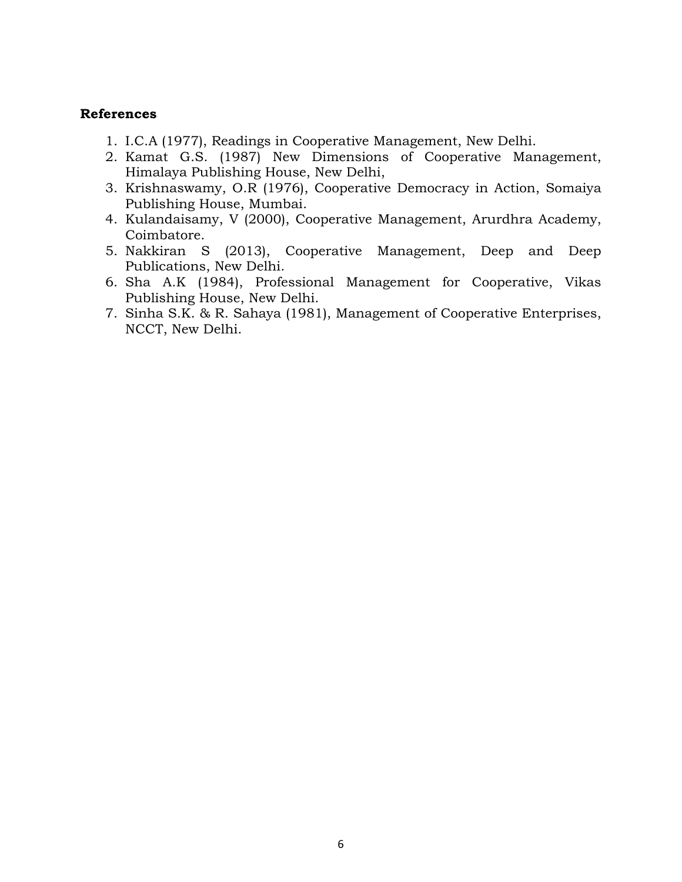## **References**

- 1. I.C.A (1977), Readings in Cooperative Management, New Delhi.
- 2. Kamat G.S. (1987) New Dimensions of Cooperative Management, Himalaya Publishing House, New Delhi,
- 3. Krishnaswamy, O.R (1976), Cooperative Democracy in Action, Somaiya Publishing House, Mumbai.
- 4. Kulandaisamy, V (2000), Cooperative Management, Arurdhra Academy, Coimbatore.
- 5. Nakkiran S (2013), Cooperative Management, Deep and Deep Publications, New Delhi.
- 6. Sha A.K (1984), Professional Management for Cooperative, Vikas Publishing House, New Delhi.
- 7. Sinha S.K. & R. Sahaya (1981), Management of Cooperative Enterprises, NCCT, New Delhi.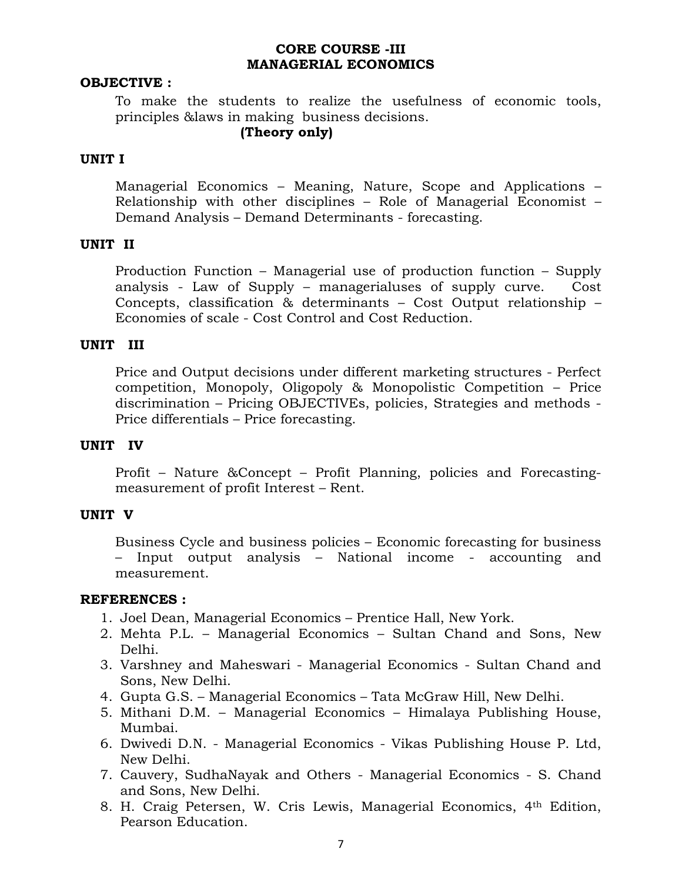## **CORE COURSE -III MANAGERIAL ECONOMICS**

#### **OBJECTIVE :**

To make the students to realize the usefulness of economic tools, principles &laws in making business decisions.

## **(Theory only)**

## **UNIT I**

Managerial Economics – Meaning, Nature, Scope and Applications – Relationship with other disciplines – Role of Managerial Economist – Demand Analysis – Demand Determinants - forecasting.

## **UNIT II**

Production Function – Managerial use of production function – Supply analysis - Law of Supply – managerialuses of supply curve. Cost Concepts, classification & determinants – Cost Output relationship – Economies of scale - Cost Control and Cost Reduction.

### **UNIT III**

Price and Output decisions under different marketing structures - Perfect competition, Monopoly, Oligopoly & Monopolistic Competition – Price discrimination – Pricing OBJECTIVEs, policies, Strategies and methods - Price differentials – Price forecasting.

#### **UNIT IV**

Profit – Nature &Concept – Profit Planning, policies and Forecastingmeasurement of profit Interest – Rent.

#### **UNIT V**

Business Cycle and business policies – Economic forecasting for business – Input output analysis – National income - accounting and measurement.

- 1. Joel Dean, Managerial Economics Prentice Hall, New York.
- 2. Mehta P.L. Managerial Economics Sultan Chand and Sons, New Delhi.
- 3. Varshney and Maheswari Managerial Economics Sultan Chand and Sons, New Delhi.
- 4. Gupta G.S. Managerial Economics Tata McGraw Hill, New Delhi.
- 5. Mithani D.M. Managerial Economics Himalaya Publishing House, Mumbai.
- 6. Dwivedi D.N. Managerial Economics Vikas Publishing House P. Ltd, New Delhi.
- 7. Cauvery, SudhaNayak and Others Managerial Economics S. Chand and Sons, New Delhi.
- 8. H. Craig Petersen, W. Cris Lewis, Managerial Economics, 4th Edition, Pearson Education.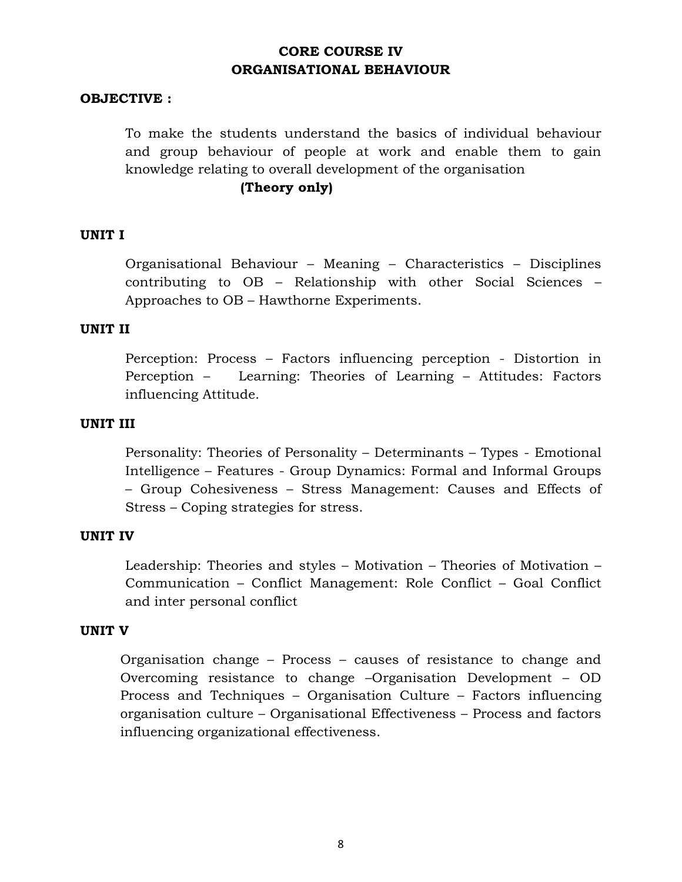# **CORE COURSE IV ORGANISATIONAL BEHAVIOUR**

### **OBJECTIVE :**

To make the students understand the basics of individual behaviour and group behaviour of people at work and enable them to gain knowledge relating to overall development of the organisation

## **(Theory only)**

### **UNIT I**

Organisational Behaviour – Meaning – Characteristics – Disciplines contributing to OB – Relationship with other Social Sciences – Approaches to OB – Hawthorne Experiments.

#### **UNIT II**

Perception: Process – Factors influencing perception - Distortion in Perception – Learning: Theories of Learning – Attitudes: Factors influencing Attitude.

#### **UNIT III**

Personality: Theories of Personality – Determinants – Types - Emotional Intelligence – Features - Group Dynamics: Formal and Informal Groups – Group Cohesiveness – Stress Management: Causes and Effects of Stress – Coping strategies for stress.

#### **UNIT IV**

Leadership: Theories and styles – Motivation – Theories of Motivation – Communication – Conflict Management: Role Conflict – Goal Conflict and inter personal conflict

#### **UNIT V**

Organisation change – Process – causes of resistance to change and Overcoming resistance to change –Organisation Development – OD Process and Techniques – Organisation Culture – Factors influencing organisation culture – Organisational Effectiveness – Process and factors influencing organizational effectiveness.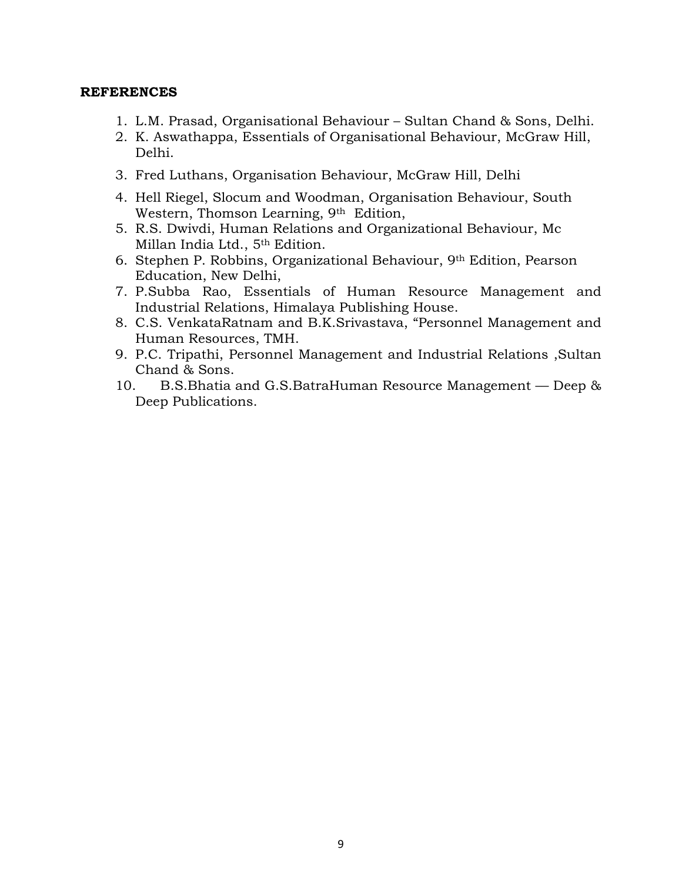- 1. L.M. Prasad, Organisational Behaviour Sultan Chand & Sons, Delhi.
- 2. K. Aswathappa, Essentials of Organisational Behaviour, McGraw Hill, Delhi.
- 3. Fred Luthans, Organisation Behaviour, McGraw Hill, Delhi
- 4. Hell Riegel, Slocum and Woodman, Organisation Behaviour, South Western, Thomson Learning, 9<sup>th</sup> Edition,
- 5. R.S. Dwivdi, Human Relations and Organizational Behaviour, Mc Millan India Ltd., 5th Edition.
- 6. Stephen P. Robbins, Organizational Behaviour, 9th Edition, Pearson Education, New Delhi,
- 7. P.Subba Rao, Essentials of Human Resource Management and Industrial Relations, Himalaya Publishing House.
- 8. C.S. VenkataRatnam and B.K.Srivastava, "Personnel Management and Human Resources, TMH.
- 9. P.C. Tripathi, Personnel Management and Industrial Relations ,Sultan Chand & Sons.
- 10. B.S.Bhatia and G.S.BatraHuman Resource Management Deep & Deep Publications.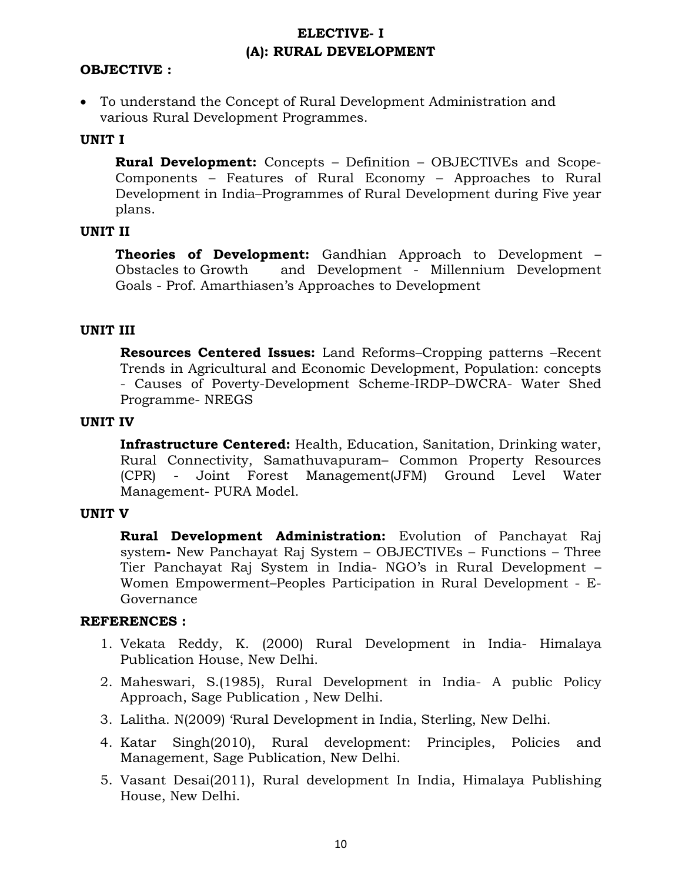# **ELECTIVE- I (A): RURAL DEVELOPMENT**

## **OBJECTIVE :**

• To understand the Concept of Rural Development Administration and various Rural Development Programmes.

## **UNIT I**

**Rural Development:** Concepts – Definition – OBJECTIVEs and Scope-Components – Features of Rural Economy – Approaches to Rural Development in India–Programmes of Rural Development during Five year plans.

### **UNIT II**

**Theories of Development:** Gandhian Approach to Development – Obstacles to Growth and Development - Millennium Development Goals - Prof. Amarthiasen's Approaches to Development

## **UNIT III**

**Resources Centered Issues:** Land Reforms–Cropping patterns –Recent Trends in Agricultural and Economic Development, Population: concepts - Causes of Poverty-Development Scheme-IRDP–DWCRA- Water Shed Programme- NREGS

### **UNIT IV**

**Infrastructure Centered:** Health, Education, Sanitation, Drinking water, Rural Connectivity, Samathuvapuram– Common Property Resources (CPR) - Joint Forest Management(JFM) Ground Level Water Management- PURA Model.

#### **UNIT V**

**Rural Development Administration:** Evolution of Panchayat Raj system**-** New Panchayat Raj System – OBJECTIVEs – Functions – Three Tier Panchayat Raj System in India- NGO's in Rural Development – Women Empowerment–Peoples Participation in Rural Development - E-Governance

- 1. Vekata Reddy, K. (2000) Rural Development in India- Himalaya Publication House, New Delhi.
- 2. Maheswari, S.(1985), Rural Development in India- A public Policy Approach, Sage Publication , New Delhi.
- 3. Lalitha. N(2009) 'Rural Development in India, Sterling, New Delhi.
- 4. Katar Singh(2010), Rural development: Principles, Policies and Management, Sage Publication, New Delhi.
- 5. Vasant Desai(2011), Rural development In India, Himalaya Publishing House, New Delhi.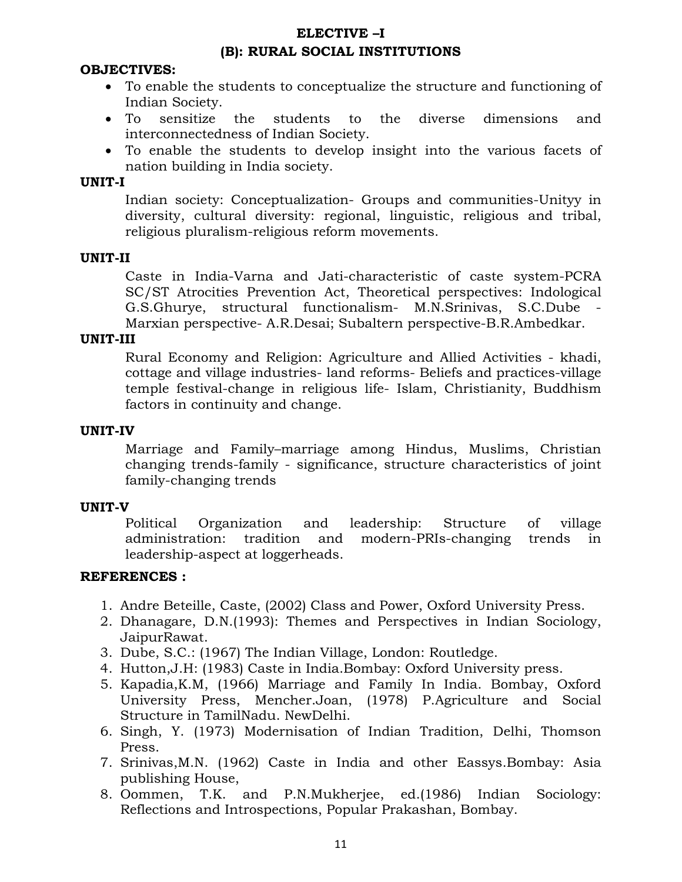# **ELECTIVE –I (B): RURAL SOCIAL INSTITUTIONS**

## **OBJECTIVES:**

- To enable the students to conceptualize the structure and functioning of Indian Society.
- To sensitize the students to the diverse dimensions and interconnectedness of Indian Society.
- To enable the students to develop insight into the various facets of nation building in India society.

## **UNIT-I**

Indian society: Conceptualization- Groups and communities-Unityy in diversity, cultural diversity: regional, linguistic, religious and tribal, religious pluralism-religious reform movements.

## **UNIT-II**

Caste in India-Varna and Jati-characteristic of caste system-PCRA SC/ST Atrocities Prevention Act, Theoretical perspectives: Indological G.S.Ghurye, structural functionalism- M.N.Srinivas, S.C.Dube - Marxian perspective- A.R.Desai; Subaltern perspective-B.R.Ambedkar.

### **UNIT-III**

Rural Economy and Religion: Agriculture and Allied Activities - khadi, cottage and village industries- land reforms- Beliefs and practices-village temple festival-change in religious life- Islam, Christianity, Buddhism factors in continuity and change.

### **UNIT-IV**

Marriage and Family–marriage among Hindus, Muslims, Christian changing trends-family - significance, structure characteristics of joint family-changing trends

### **UNIT-V**

Political Organization and leadership: Structure of village administration: tradition and modern-PRIs-changing trends in leadership-aspect at loggerheads.

- 1. Andre Beteille, Caste, (2002) Class and Power, Oxford University Press.
- 2. Dhanagare, D.N.(1993): Themes and Perspectives in Indian Sociology, JaipurRawat.
- 3. Dube, S.C.: (1967) The Indian Village, London: Routledge.
- 4. Hutton,J.H: (1983) Caste in India.Bombay: Oxford University press.
- 5. Kapadia,K.M, (1966) Marriage and Family In India. Bombay, Oxford University Press, Mencher.Joan, (1978) P.Agriculture and Social Structure in TamilNadu. NewDelhi.
- 6. Singh, Y. (1973) Modernisation of Indian Tradition, Delhi, Thomson Press.
- 7. Srinivas,M.N. (1962) Caste in India and other Eassys.Bombay: Asia publishing House,
- 8. Oommen, T.K. and P.N.Mukherjee, ed.(1986) Indian Sociology: Reflections and Introspections, Popular Prakashan, Bombay.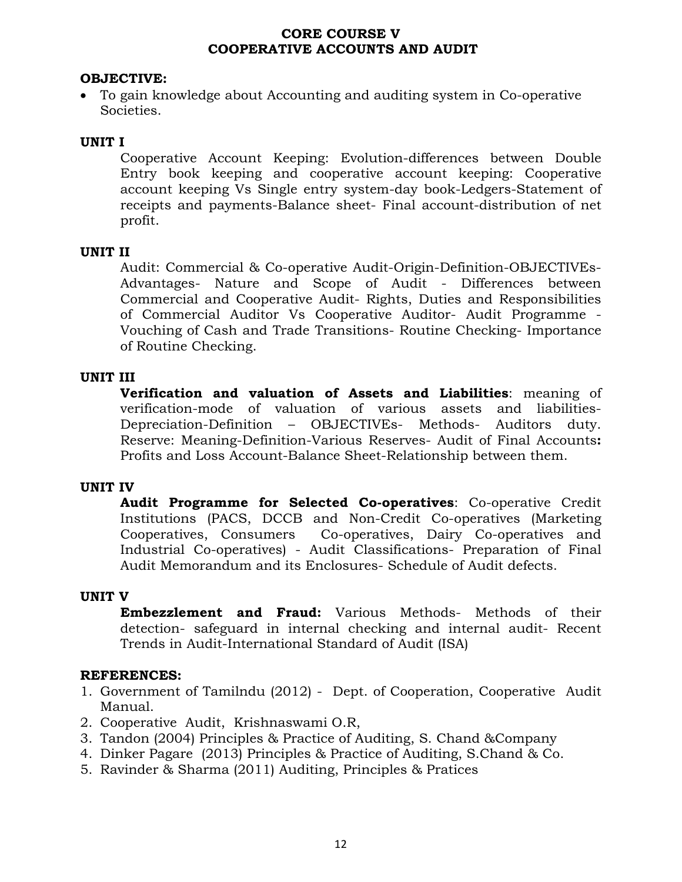## **CORE COURSE V COOPERATIVE ACCOUNTS AND AUDIT**

## **OBJECTIVE:**

• To gain knowledge about Accounting and auditing system in Co-operative Societies.

## **UNIT I**

Cooperative Account Keeping: Evolution-differences between Double Entry book keeping and cooperative account keeping: Cooperative account keeping Vs Single entry system-day book-Ledgers-Statement of receipts and payments-Balance sheet- Final account-distribution of net profit.

## **UNIT II**

Audit: Commercial & Co-operative Audit-Origin-Definition-OBJECTIVEs-Advantages- Nature and Scope of Audit - Differences between Commercial and Cooperative Audit- Rights, Duties and Responsibilities of Commercial Auditor Vs Cooperative Auditor- Audit Programme - Vouching of Cash and Trade Transitions- Routine Checking- Importance of Routine Checking.

## **UNIT III**

**Verification and valuation of Assets and Liabilities**: meaning of verification-mode of valuation of various assets and liabilities-Depreciation-Definition – OBJECTIVEs- Methods- Auditors duty. Reserve: Meaning-Definition-Various Reserves- Audit of Final Accounts**:** Profits and Loss Account-Balance Sheet-Relationship between them.

## **UNIT IV**

**Audit Programme for Selected Co-operatives**: Co-operative Credit Institutions (PACS, DCCB and Non-Credit Co-operatives (Marketing Cooperatives, Consumers Co-operatives, Dairy Co-operatives and Industrial Co-operatives) - Audit Classifications- Preparation of Final Audit Memorandum and its Enclosures- Schedule of Audit defects.

## **UNIT V**

**Embezzlement and Fraud:** Various Methods- Methods of their detection- safeguard in internal checking and internal audit- Recent Trends in Audit-International Standard of Audit (ISA)

- 1. Government of Tamilndu (2012) Dept. of Cooperation, Cooperative Audit Manual.
- 2. Cooperative Audit, Krishnaswami O.R,
- 3. Tandon (2004) Principles & Practice of Auditing, S. Chand &Company
- 4. Dinker Pagare (2013) Principles & Practice of Auditing, S.Chand & Co.
- 5. Ravinder & Sharma (2011) Auditing, Principles & Pratices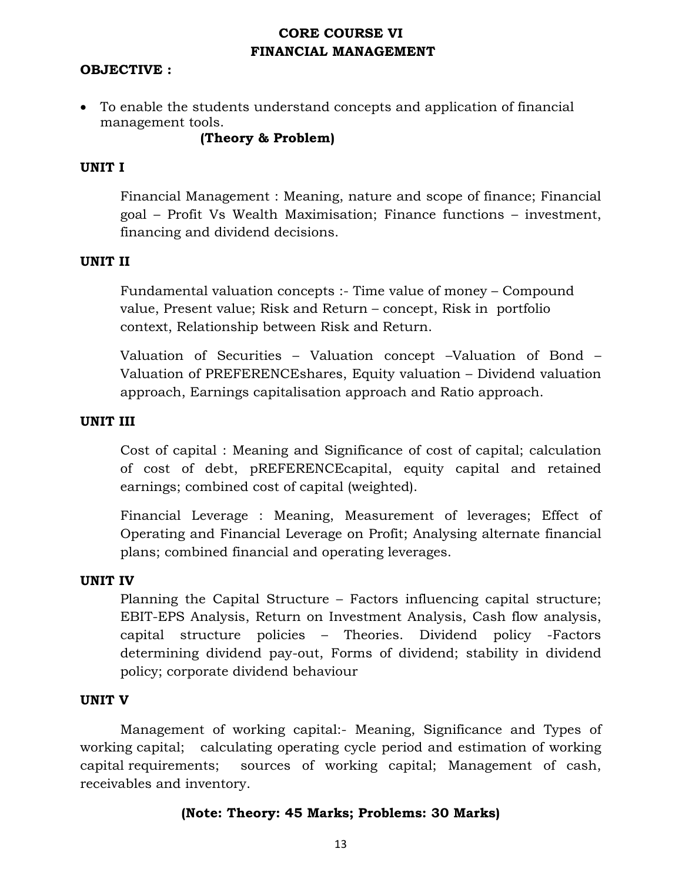# **CORE COURSE VI FINANCIAL MANAGEMENT**

## **OBJECTIVE :**

• To enable the students understand concepts and application of financial management tools.

**(Theory & Problem)** 

## **UNIT I**

Financial Management : Meaning, nature and scope of finance; Financial goal – Profit Vs Wealth Maximisation; Finance functions – investment, financing and dividend decisions.

### **UNIT II**

Fundamental valuation concepts :- Time value of money – Compound value, Present value; Risk and Return – concept, Risk in portfolio context, Relationship between Risk and Return.

Valuation of Securities – Valuation concept –Valuation of Bond – Valuation of PREFERENCEshares, Equity valuation – Dividend valuation approach, Earnings capitalisation approach and Ratio approach.

### **UNIT III**

Cost of capital : Meaning and Significance of cost of capital; calculation of cost of debt, pREFERENCEcapital, equity capital and retained earnings; combined cost of capital (weighted).

Financial Leverage : Meaning, Measurement of leverages; Effect of Operating and Financial Leverage on Profit; Analysing alternate financial plans; combined financial and operating leverages.

### **UNIT IV**

Planning the Capital Structure – Factors influencing capital structure; EBIT-EPS Analysis, Return on Investment Analysis, Cash flow analysis, capital structure policies – Theories. Dividend policy -Factors determining dividend pay-out, Forms of dividend; stability in dividend policy; corporate dividend behaviour

### **UNIT V**

 Management of working capital:- Meaning, Significance and Types of working capital; calculating operating cycle period and estimation of working capital requirements; sources of working capital; Management of cash, receivables and inventory.

## **(Note: Theory: 45 Marks; Problems: 30 Marks)**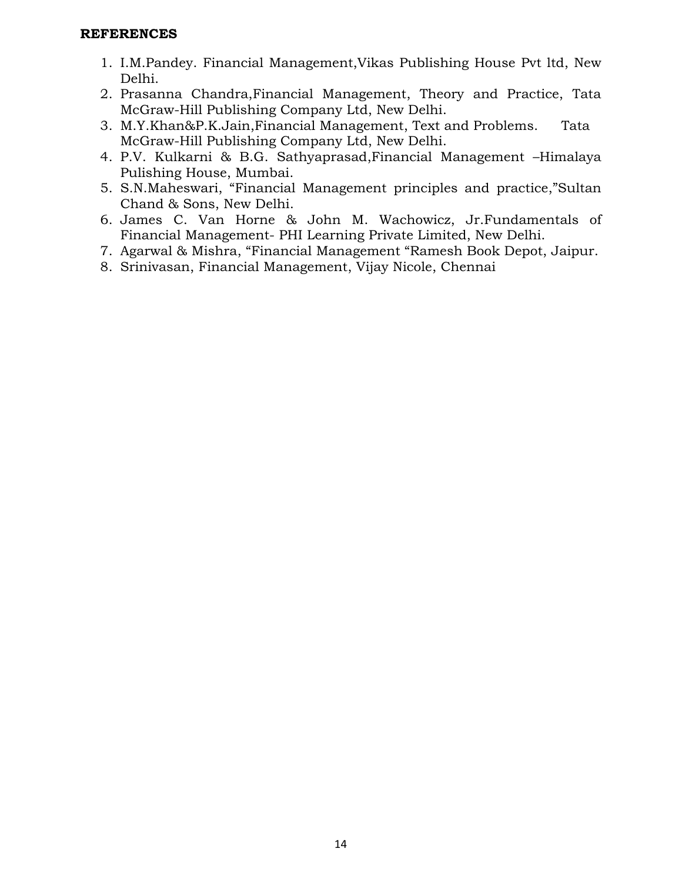- 1. I.M.Pandey. Financial Management,Vikas Publishing House Pvt ltd, New Delhi.
- 2. Prasanna Chandra,Financial Management, Theory and Practice, Tata McGraw-Hill Publishing Company Ltd, New Delhi.
- 3. M.Y.Khan&P.K.Jain,Financial Management, Text and Problems. Tata McGraw-Hill Publishing Company Ltd, New Delhi.
- 4. P.V. Kulkarni & B.G. Sathyaprasad,Financial Management –Himalaya Pulishing House, Mumbai.
- 5. S.N.Maheswari, "Financial Management principles and practice,"Sultan Chand & Sons, New Delhi.
- 6. James C. Van Horne & John M. Wachowicz, Jr.Fundamentals of Financial Management- PHI Learning Private Limited, New Delhi.
- 7. Agarwal & Mishra, "Financial Management "Ramesh Book Depot, Jaipur.
- 8. Srinivasan, Financial Management, Vijay Nicole, Chennai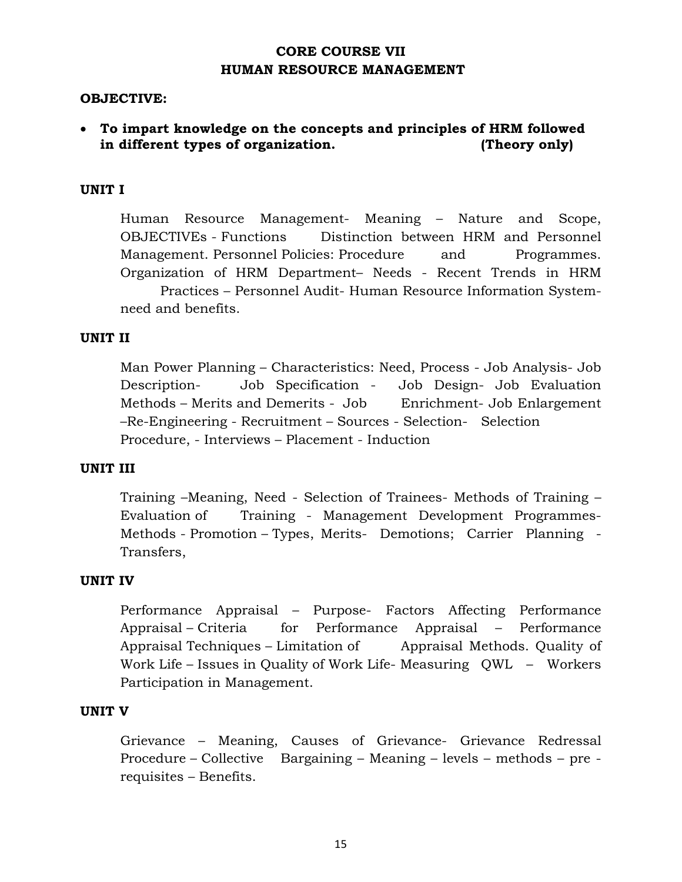# **CORE COURSE VII HUMAN RESOURCE MANAGEMENT**

### **OBJECTIVE:**

# • **To impart knowledge on the concepts and principles of HRM followed in different types of organization. (Theory only)**

## **UNIT I**

 Human Resource Management- Meaning – Nature and Scope, OBJECTIVEs - Functions Distinction between HRM and Personnel Management. Personnel Policies: Procedure and Programmes. Organization of HRM Department– Needs - Recent Trends in HRM Practices – Personnel Audit- Human Resource Information Systemneed and benefits.

### **UNIT II**

 Man Power Planning – Characteristics: Need, Process - Job Analysis- Job Description- Job Specification - Job Design- Job Evaluation Methods – Merits and Demerits - Job Enrichment- Job Enlargement –Re-Engineering - Recruitment – Sources - Selection- Selection Procedure, - Interviews – Placement - Induction

## **UNIT III**

 Training –Meaning, Need - Selection of Trainees- Methods of Training – Evaluation of Training - Management Development Programmes-Methods - Promotion – Types, Merits- Demotions; Carrier Planning - Transfers,

#### **UNIT IV**

 Performance Appraisal – Purpose- Factors Affecting Performance Appraisal – Criteria for Performance Appraisal – Performance Appraisal Techniques – Limitation of Appraisal Methods. Quality of Work Life – Issues in Quality of Work Life- Measuring QWL – Workers Participation in Management.

#### **UNIT V**

 Grievance – Meaning, Causes of Grievance- Grievance Redressal Procedure – Collective Bargaining – Meaning – levels – methods – pre requisites – Benefits.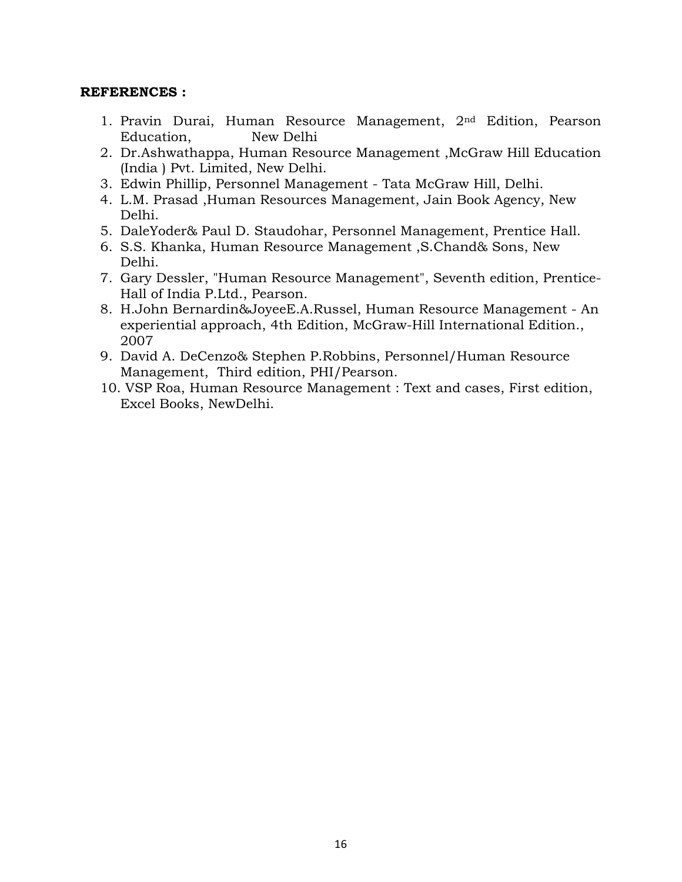- 1. Pravin Durai, Human Resource Management, 2nd Edition, Pearson Education, New Delhi
- 2. Dr.Ashwathappa, Human Resource Management ,McGraw Hill Education (India ) Pvt. Limited, New Delhi.
- 3. Edwin Phillip, Personnel Management Tata McGraw Hill, Delhi.
- 4. L.M. Prasad ,Human Resources Management, Jain Book Agency, New Delhi.
- 5. DaleYoder& Paul D. Staudohar, Personnel Management, Prentice Hall.
- 6. S.S. Khanka, Human Resource Management ,S.Chand& Sons, New Delhi.
- 7. Gary Dessler, "Human Resource Management", Seventh edition, Prentice-Hall of India P.Ltd., Pearson.
- 8. H.John Bernardin&JoyeeE.A.Russel, Human Resource Management An experiential approach, 4th Edition, McGraw-Hill International Edition., 2007
- 9. David A. DeCenzo& Stephen P.Robbins, Personnel/Human Resource Management, Third edition, PHI/Pearson.
- 10. VSP Roa, Human Resource Management : Text and cases, First edition, Excel Books, NewDelhi.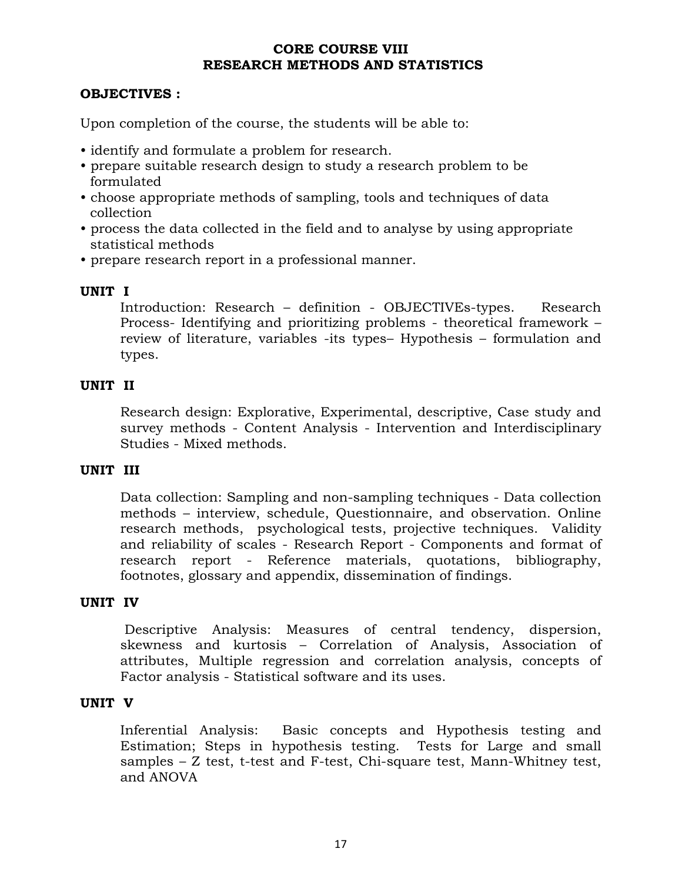## **CORE COURSE VIII RESEARCH METHODS AND STATISTICS**

## **OBJECTIVES :**

Upon completion of the course, the students will be able to:

- identify and formulate a problem for research.
- prepare suitable research design to study a research problem to be formulated
- choose appropriate methods of sampling, tools and techniques of data collection
- process the data collected in the field and to analyse by using appropriate statistical methods
- prepare research report in a professional manner.

## **UNIT I**

Introduction: Research – definition - OBJECTIVEs-types. Research Process- Identifying and prioritizing problems - theoretical framework – review of literature, variables -its types– Hypothesis – formulation and types.

## **UNIT II**

Research design: Explorative, Experimental, descriptive, Case study and survey methods - Content Analysis - Intervention and Interdisciplinary Studies - Mixed methods.

## **UNIT III**

Data collection: Sampling and non-sampling techniques - Data collection methods – interview, schedule, Questionnaire, and observation. Online research methods, psychological tests, projective techniques. Validity and reliability of scales - Research Report - Components and format of research report - Reference materials, quotations, bibliography, footnotes, glossary and appendix, dissemination of findings.

## **UNIT IV**

 Descriptive Analysis: Measures of central tendency, dispersion, skewness and kurtosis – Correlation of Analysis, Association of attributes, Multiple regression and correlation analysis, concepts of Factor analysis - Statistical software and its uses.

## **UNIT V**

Inferential Analysis: Basic concepts and Hypothesis testing and Estimation; Steps in hypothesis testing. Tests for Large and small samples – Z test, t-test and F-test, Chi-square test, Mann-Whitney test, and ANOVA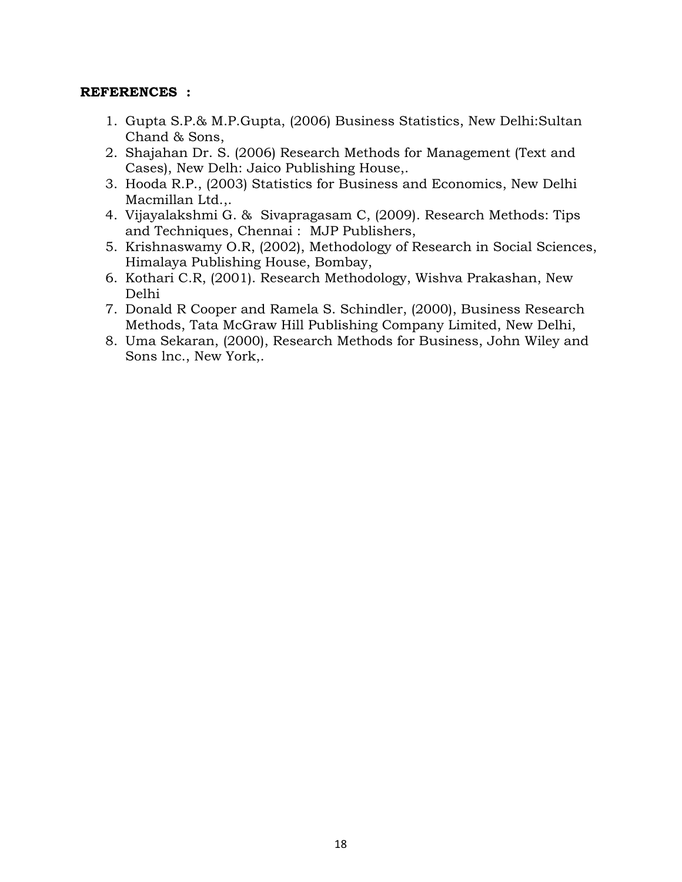- 1. Gupta S.P.& M.P.Gupta, (2006) Business Statistics, New Delhi:Sultan Chand & Sons,
- 2. Shajahan Dr. S. (2006) Research Methods for Management (Text and Cases), New Delh: Jaico Publishing House,.
- 3. Hooda R.P., (2003) Statistics for Business and Economics, New Delhi Macmillan Ltd.,.
- 4. Vijayalakshmi G. & Sivapragasam C, (2009). Research Methods: Tips and Techniques, Chennai : MJP Publishers,
- 5. Krishnaswamy O.R, (2002), Methodology of Research in Social Sciences, Himalaya Publishing House, Bombay,
- 6. Kothari C.R, (2001). Research Methodology, Wishva Prakashan, New Delhi
- 7. Donald R Cooper and Ramela S. Schindler, (2000), Business Research Methods, Tata McGraw Hill Publishing Company Limited, New Delhi,
- 8. Uma Sekaran, (2000), Research Methods for Business, John Wiley and Sons lnc., New York,.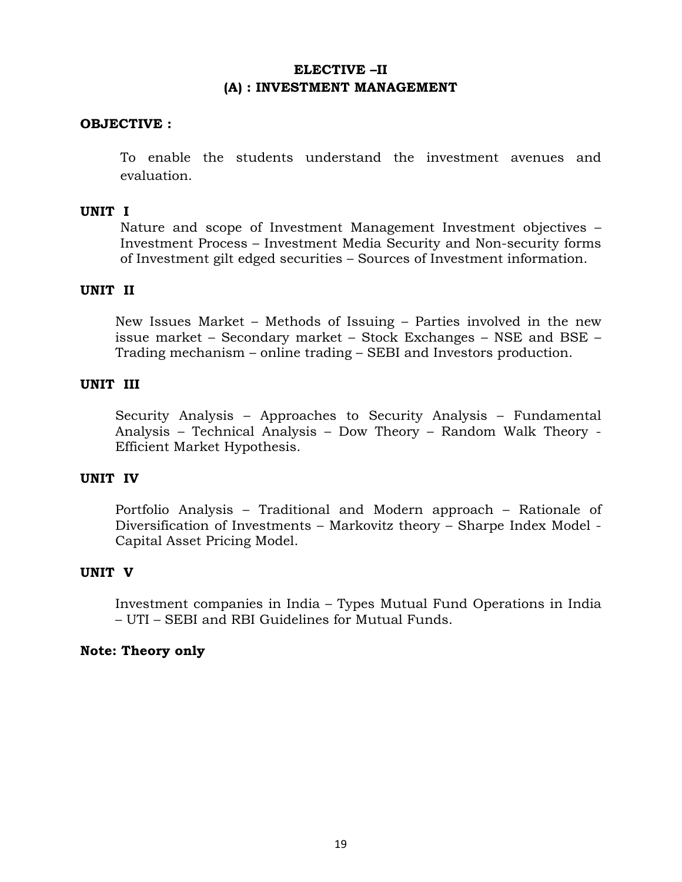# **ELECTIVE –II (A) : INVESTMENT MANAGEMENT**

## **OBJECTIVE :**

To enable the students understand the investment avenues and evaluation.

## **UNIT I**

Nature and scope of Investment Management Investment objectives – Investment Process – Investment Media Security and Non-security forms of Investment gilt edged securities – Sources of Investment information.

## **UNIT II**

New Issues Market – Methods of Issuing – Parties involved in the new issue market – Secondary market – Stock Exchanges – NSE and BSE – Trading mechanism – online trading – SEBI and Investors production.

## **UNIT III**

Security Analysis – Approaches to Security Analysis – Fundamental Analysis – Technical Analysis – Dow Theory – Random Walk Theory - Efficient Market Hypothesis.

## **UNIT IV**

Portfolio Analysis – Traditional and Modern approach – Rationale of Diversification of Investments – Markovitz theory – Sharpe Index Model - Capital Asset Pricing Model.

### **UNIT V**

Investment companies in India – Types Mutual Fund Operations in India – UTI – SEBI and RBI Guidelines for Mutual Funds.

### **Note: Theory only**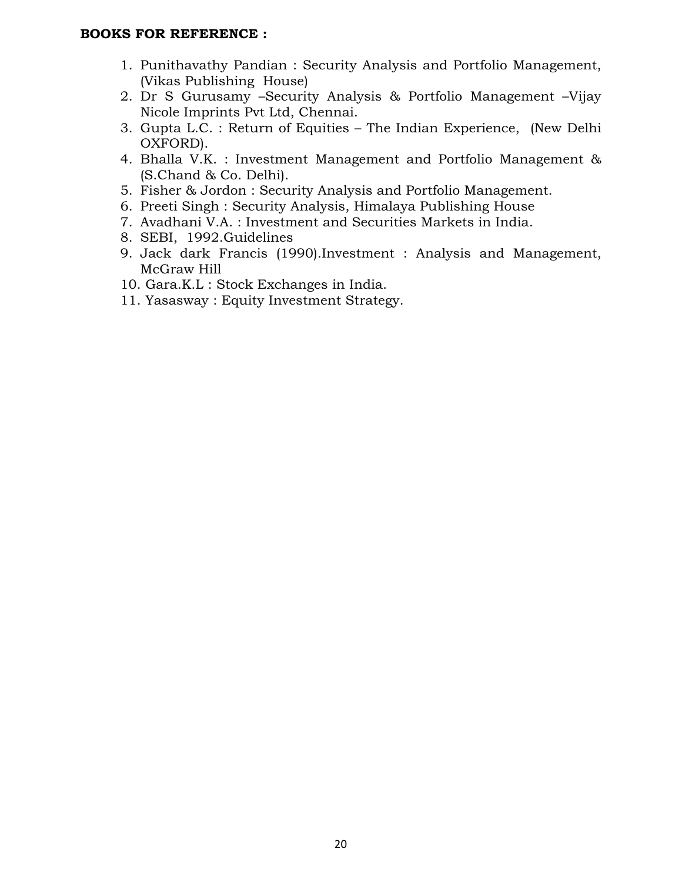## **BOOKS FOR REFERENCE :**

- 1. Punithavathy Pandian : Security Analysis and Portfolio Management, (Vikas Publishing House)
- 2. Dr S Gurusamy –Security Analysis & Portfolio Management –Vijay Nicole Imprints Pvt Ltd, Chennai.
- 3. Gupta L.C. : Return of Equities The Indian Experience, (New Delhi OXFORD).
- 4. Bhalla V.K. : Investment Management and Portfolio Management & (S.Chand & Co. Delhi).
- 5. Fisher & Jordon : Security Analysis and Portfolio Management.
- 6. Preeti Singh : Security Analysis, Himalaya Publishing House
- 7. Avadhani V.A. : Investment and Securities Markets in India.
- 8. SEBI, 1992.Guidelines
- 9. Jack dark Francis (1990).Investment : Analysis and Management, McGraw Hill
- 10. Gara.K.L : Stock Exchanges in India.
- 11. Yasasway : Equity Investment Strategy.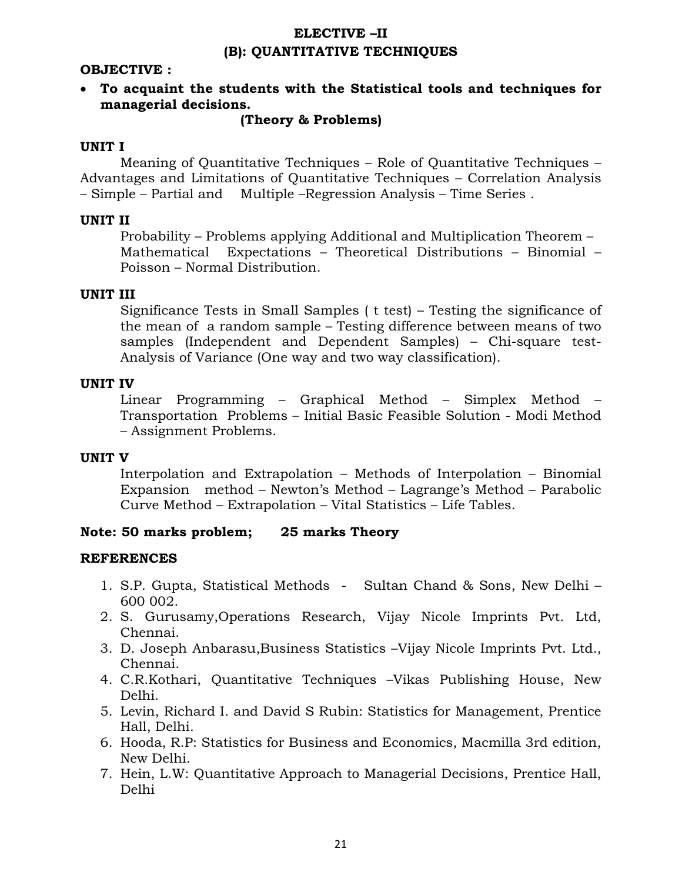# **ELECTIVE –II (B): QUANTITATIVE TECHNIQUES**

## **OBJECTIVE :**

• **To acquaint the students with the Statistical tools and techniques for managerial decisions.** 

#### **(Theory & Problems)**

#### **UNIT I**

Meaning of Quantitative Techniques – Role of Quantitative Techniques – Advantages and Limitations of Quantitative Techniques – Correlation Analysis – Simple – Partial and Multiple –Regression Analysis – Time Series .

#### **UNIT II**

Probability – Problems applying Additional and Multiplication Theorem – Mathematical Expectations – Theoretical Distributions – Binomial – Poisson – Normal Distribution.

#### **UNIT III**

Significance Tests in Small Samples ( t test) – Testing the significance of the mean of a random sample – Testing difference between means of two samples (Independent and Dependent Samples) – Chi-square test-Analysis of Variance (One way and two way classification).

#### **UNIT IV**

Linear Programming – Graphical Method – Simplex Method – Transportation Problems – Initial Basic Feasible Solution - Modi Method – Assignment Problems.

## **UNIT V**

Interpolation and Extrapolation – Methods of Interpolation – Binomial Expansion method – Newton's Method – Lagrange's Method – Parabolic Curve Method – Extrapolation – Vital Statistics – Life Tables.

### **Note: 50 marks problem; 25 marks Theory**

- 1. S.P. Gupta, Statistical Methods Sultan Chand & Sons, New Delhi 600 002.
- 2. S. Gurusamy,Operations Research, Vijay Nicole Imprints Pvt. Ltd, Chennai.
- 3. D. Joseph Anbarasu,Business Statistics –Vijay Nicole Imprints Pvt. Ltd., Chennai.
- 4. C.R.Kothari, Quantitative Techniques –Vikas Publishing House, New Delhi.
- 5. Levin, Richard I. and David S Rubin: Statistics for Management, Prentice Hall, Delhi.
- 6. Hooda, R.P: Statistics for Business and Economics, Macmilla 3rd edition, New Delhi.
- 7. Hein, L.W: Quantitative Approach to Managerial Decisions, Prentice Hall, Delhi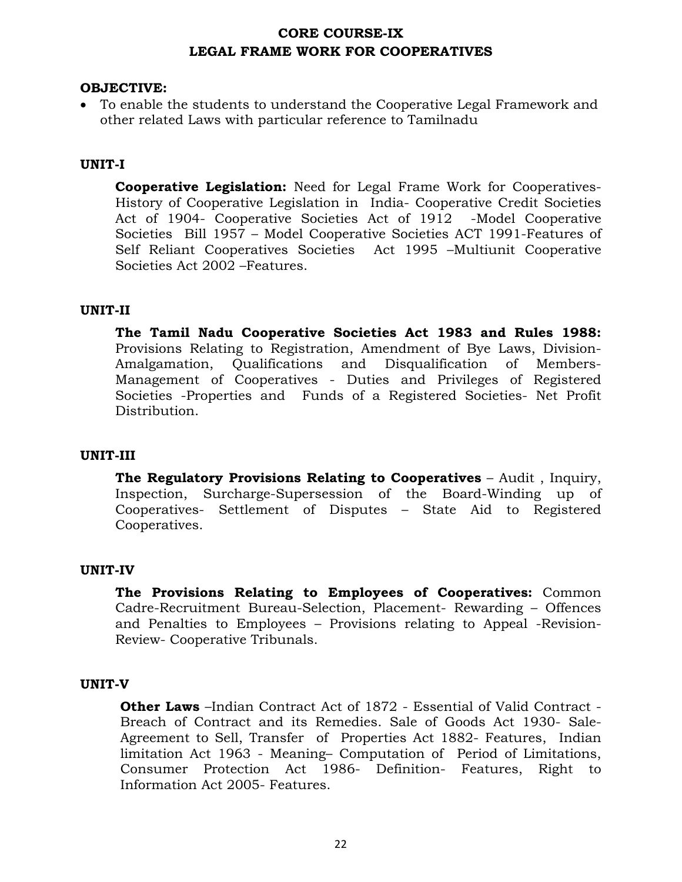## **CORE COURSE-IX LEGAL FRAME WORK FOR COOPERATIVES**

## **OBJECTIVE:**

• To enable the students to understand the Cooperative Legal Framework and other related Laws with particular reference to Tamilnadu

## **UNIT-I**

**Cooperative Legislation:** Need for Legal Frame Work for Cooperatives-History of Cooperative Legislation in India- Cooperative Credit Societies Act of 1904- Cooperative Societies Act of 1912 -Model Cooperative Societies Bill 1957 – Model Cooperative Societies ACT 1991-Features of Self Reliant Cooperatives Societies Act 1995 –Multiunit Cooperative Societies Act 2002 –Features.

### **UNIT-II**

**The Tamil Nadu Cooperative Societies Act 1983 and Rules 1988:** Provisions Relating to Registration, Amendment of Bye Laws, Division-Amalgamation, Qualifications and Disqualification of Members-Management of Cooperatives - Duties and Privileges of Registered Societies -Properties and Funds of a Registered Societies- Net Profit Distribution.

### **UNIT-III**

**The Regulatory Provisions Relating to Cooperatives** – Audit , Inquiry, Inspection, Surcharge-Supersession of the Board-Winding up of Cooperatives- Settlement of Disputes – State Aid to Registered Cooperatives.

### **UNIT-IV**

**The Provisions Relating to Employees of Cooperatives:** Common Cadre-Recruitment Bureau-Selection, Placement- Rewarding – Offences and Penalties to Employees – Provisions relating to Appeal -Revision-Review- Cooperative Tribunals.

### **UNIT-V**

**Other Laws** –Indian Contract Act of 1872 - Essential of Valid Contract - Breach of Contract and its Remedies. Sale of Goods Act 1930- Sale-Agreement to Sell, Transfer of Properties Act 1882- Features, Indian limitation Act 1963 - Meaning– Computation of Period of Limitations, Consumer Protection Act 1986- Definition- Features, Right to Information Act 2005- Features.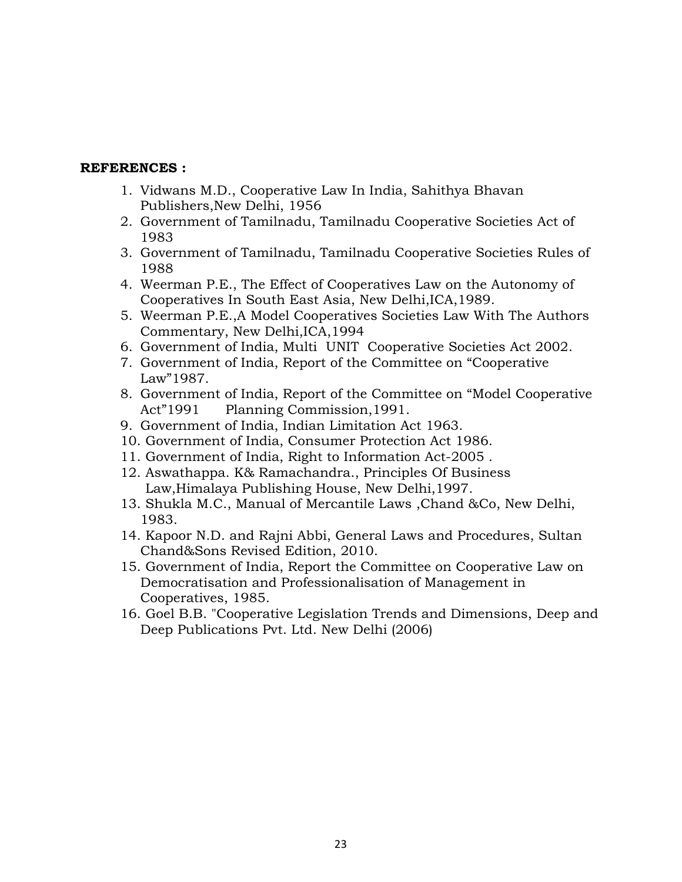- 1. Vidwans M.D., Cooperative Law In India, Sahithya Bhavan Publishers,New Delhi, 1956
- 2. Government of Tamilnadu, Tamilnadu Cooperative Societies Act of 1983
- 3. Government of Tamilnadu, Tamilnadu Cooperative Societies Rules of 1988
- 4. Weerman P.E., The Effect of Cooperatives Law on the Autonomy of Cooperatives In South East Asia, New Delhi,ICA,1989.
- 5. Weerman P.E.,A Model Cooperatives Societies Law With The Authors Commentary, New Delhi,ICA,1994
- 6. Government of India, Multi UNIT Cooperative Societies Act 2002.
- 7. Government of India, Report of the Committee on "Cooperative Law"1987.
- 8. Government of India, Report of the Committee on "Model Cooperative Act"1991 Planning Commission,1991.
- 9. Government of India, Indian Limitation Act 1963.
- 10. Government of India, Consumer Protection Act 1986.
- 11. Government of India, Right to Information Act-2005 .
- 12. Aswathappa. K& Ramachandra., Principles Of Business Law,Himalaya Publishing House, New Delhi,1997.
- 13. Shukla M.C., Manual of Mercantile Laws ,Chand &Co, New Delhi, 1983.
- 14. Kapoor N.D. and Rajni Abbi, General Laws and Procedures, Sultan Chand&Sons Revised Edition, 2010.
- 15. Government of India, Report the Committee on Cooperative Law on Democratisation and Professionalisation of Management in Cooperatives, 1985.
- 16. Goel B.B. "Cooperative Legislation Trends and Dimensions, Deep and Deep Publications Pvt. Ltd. New Delhi (2006)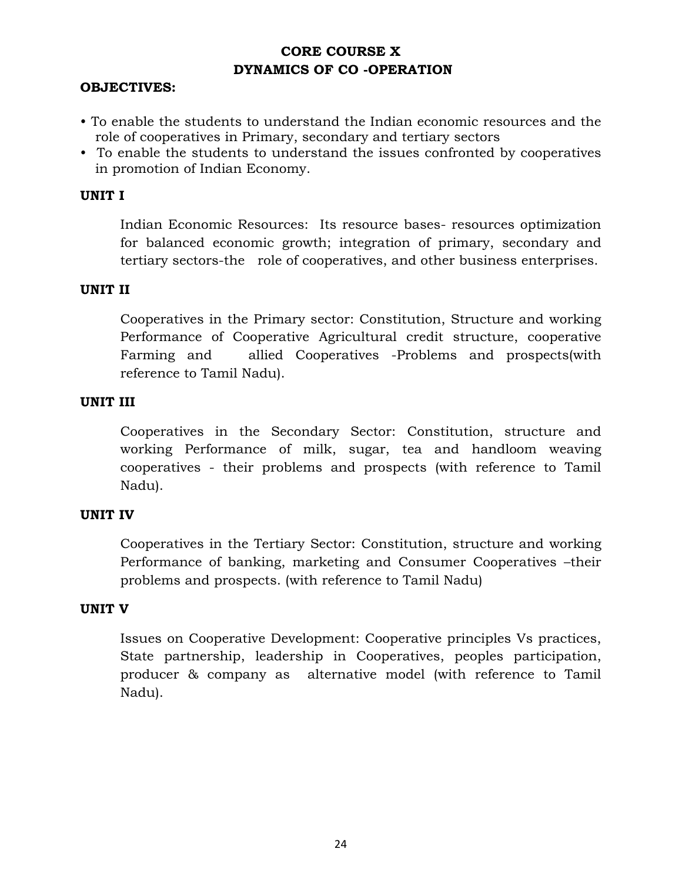# **CORE COURSE X DYNAMICS OF CO -OPERATION**

## **OBJECTIVES:**

- To enable the students to understand the Indian economic resources and the role of cooperatives in Primary, secondary and tertiary sectors
- To enable the students to understand the issues confronted by cooperatives in promotion of Indian Economy.

## **UNIT I**

Indian Economic Resources: Its resource bases- resources optimization for balanced economic growth; integration of primary, secondary and tertiary sectors-the role of cooperatives, and other business enterprises.

## **UNIT II**

Cooperatives in the Primary sector: Constitution, Structure and working Performance of Cooperative Agricultural credit structure, cooperative Farming and allied Cooperatives -Problems and prospects(with reference to Tamil Nadu).

## **UNIT III**

Cooperatives in the Secondary Sector: Constitution, structure and working Performance of milk, sugar, tea and handloom weaving cooperatives - their problems and prospects (with reference to Tamil Nadu).

### **UNIT IV**

Cooperatives in the Tertiary Sector: Constitution, structure and working Performance of banking, marketing and Consumer Cooperatives –their problems and prospects. (with reference to Tamil Nadu)

### **UNIT V**

Issues on Cooperative Development: Cooperative principles Vs practices, State partnership, leadership in Cooperatives, peoples participation, producer & company as alternative model (with reference to Tamil Nadu).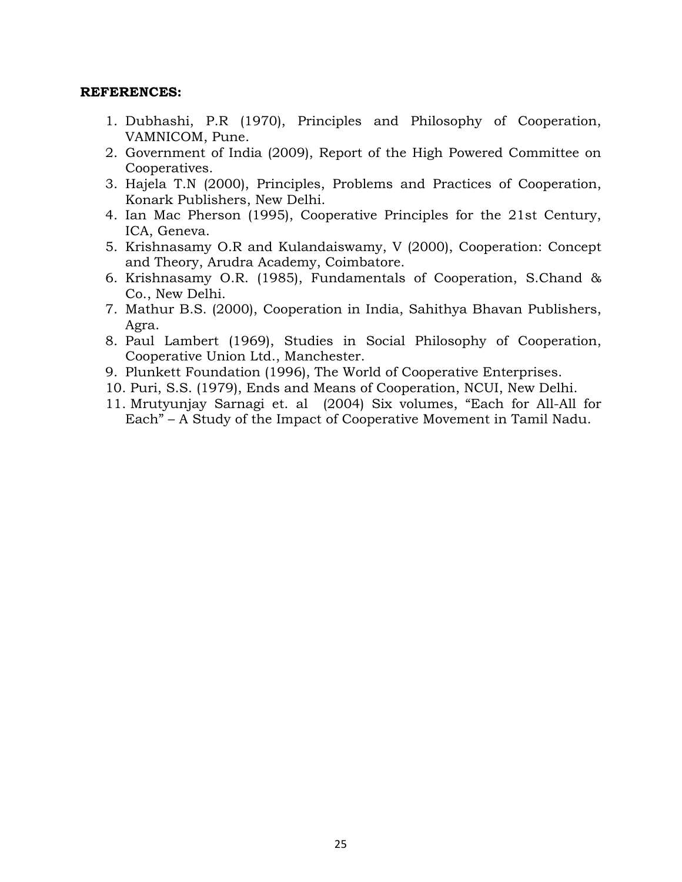- 1. Dubhashi, P.R (1970), Principles and Philosophy of Cooperation, VAMNICOM, Pune.
- 2. Government of India (2009), Report of the High Powered Committee on Cooperatives.
- 3. Hajela T.N (2000), Principles, Problems and Practices of Cooperation, Konark Publishers, New Delhi.
- 4. Ian Mac Pherson (1995), Cooperative Principles for the 21st Century, ICA, Geneva.
- 5. Krishnasamy O.R and Kulandaiswamy, V (2000), Cooperation: Concept and Theory, Arudra Academy, Coimbatore.
- 6. Krishnasamy O.R. (1985), Fundamentals of Cooperation, S.Chand & Co., New Delhi.
- 7. Mathur B.S. (2000), Cooperation in India, Sahithya Bhavan Publishers, Agra.
- 8. Paul Lambert (1969), Studies in Social Philosophy of Cooperation, Cooperative Union Ltd., Manchester.
- 9. Plunkett Foundation (1996), The World of Cooperative Enterprises.
- 10. Puri, S.S. (1979), Ends and Means of Cooperation, NCUI, New Delhi.
- 11. Mrutyunjay Sarnagi et. al (2004) Six volumes, "Each for All-All for Each" – A Study of the Impact of Cooperative Movement in Tamil Nadu.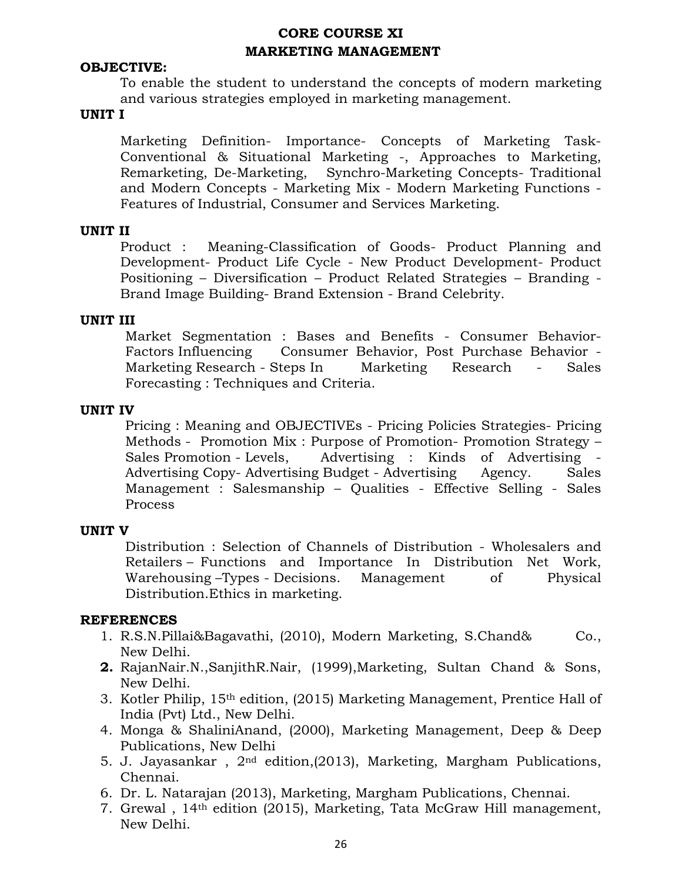# **CORE COURSE XI MARKETING MANAGEMENT**

## **OBJECTIVE:**

To enable the student to understand the concepts of modern marketing and various strategies employed in marketing management.

#### **UNIT I**

 Marketing Definition- Importance- Concepts of Marketing Task-Conventional & Situational Marketing -, Approaches to Marketing, Remarketing, De-Marketing, Synchro-Marketing Concepts- Traditional and Modern Concepts - Marketing Mix - Modern Marketing Functions - Features of Industrial, Consumer and Services Marketing.

### **UNIT II**

 Product : Meaning-Classification of Goods- Product Planning and Development- Product Life Cycle - New Product Development- Product Positioning – Diversification – Product Related Strategies – Branding - Brand Image Building- Brand Extension - Brand Celebrity.

#### **UNIT III**

Market Segmentation : Bases and Benefits - Consumer Behavior-Factors Influencing Consumer Behavior, Post Purchase Behavior - Marketing Research - Steps In Marketing Research - Sales Forecasting : Techniques and Criteria.

#### **UNIT IV**

Pricing : Meaning and OBJECTIVEs - Pricing Policies Strategies- Pricing Methods - Promotion Mix : Purpose of Promotion- Promotion Strategy – Sales Promotion - Levels, Advertising : Kinds of Advertising - Advertising Copy- Advertising Budget - Advertising Agency. Sales Management : Salesmanship – Qualities - Effective Selling - Sales Process

### **UNIT V**

Distribution : Selection of Channels of Distribution - Wholesalers and Retailers – Functions and Importance In Distribution Net Work, Warehousing –Types - Decisions. Management of Physical Distribution.Ethics in marketing.

- 1. R.S.N.Pillai&Bagavathi, (2010), Modern Marketing, S.Chand& Co., New Delhi.
- **2.** RajanNair.N.,SanjithR.Nair, (1999),Marketing, Sultan Chand & Sons, New Delhi.
- 3. Kotler Philip, 15th edition, (2015) Marketing Management, Prentice Hall of India (Pvt) Ltd., New Delhi.
- 4. Monga & ShaliniAnand, (2000), Marketing Management, Deep & Deep Publications, New Delhi
- 5. J. Jayasankar , 2nd edition,(2013), Marketing, Margham Publications, Chennai.
- 6. Dr. L. Natarajan (2013), Marketing, Margham Publications, Chennai.
- 7. Grewal , 14th edition (2015), Marketing, Tata McGraw Hill management, New Delhi.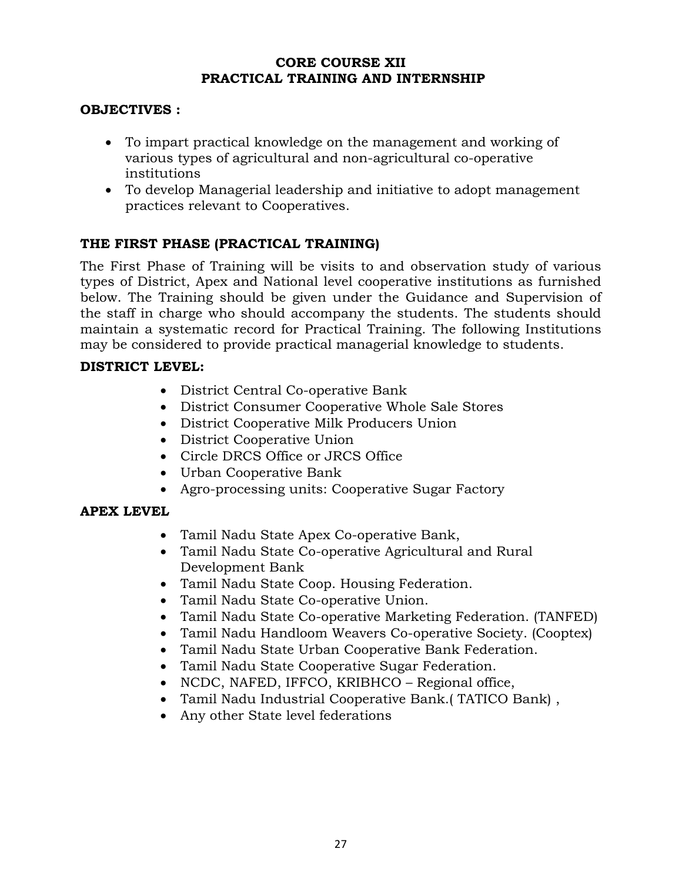## **CORE COURSE XII PRACTICAL TRAINING AND INTERNSHIP**

## **OBJECTIVES :**

- To impart practical knowledge on the management and working of various types of agricultural and non-agricultural co-operative institutions
- To develop Managerial leadership and initiative to adopt management practices relevant to Cooperatives.

# **THE FIRST PHASE (PRACTICAL TRAINING)**

The First Phase of Training will be visits to and observation study of various types of District, Apex and National level cooperative institutions as furnished below. The Training should be given under the Guidance and Supervision of the staff in charge who should accompany the students. The students should maintain a systematic record for Practical Training. The following Institutions may be considered to provide practical managerial knowledge to students.

## **DISTRICT LEVEL:**

- District Central Co-operative Bank
- District Consumer Cooperative Whole Sale Stores
- District Cooperative Milk Producers Union
- District Cooperative Union
- Circle DRCS Office or JRCS Office
- Urban Cooperative Bank
- Agro-processing units: Cooperative Sugar Factory

## **APEX LEVEL**

- Tamil Nadu State Apex Co-operative Bank,
- Tamil Nadu State Co-operative Agricultural and Rural Development Bank
- Tamil Nadu State Coop. Housing Federation.
- Tamil Nadu State Co-operative Union.
- Tamil Nadu State Co-operative Marketing Federation. (TANFED)
- Tamil Nadu Handloom Weavers Co-operative Society. (Cooptex)
- Tamil Nadu State Urban Cooperative Bank Federation.
- Tamil Nadu State Cooperative Sugar Federation.
- NCDC, NAFED, IFFCO, KRIBHCO Regional office,
- Tamil Nadu Industrial Cooperative Bank.( TATICO Bank) ,
- Any other State level federations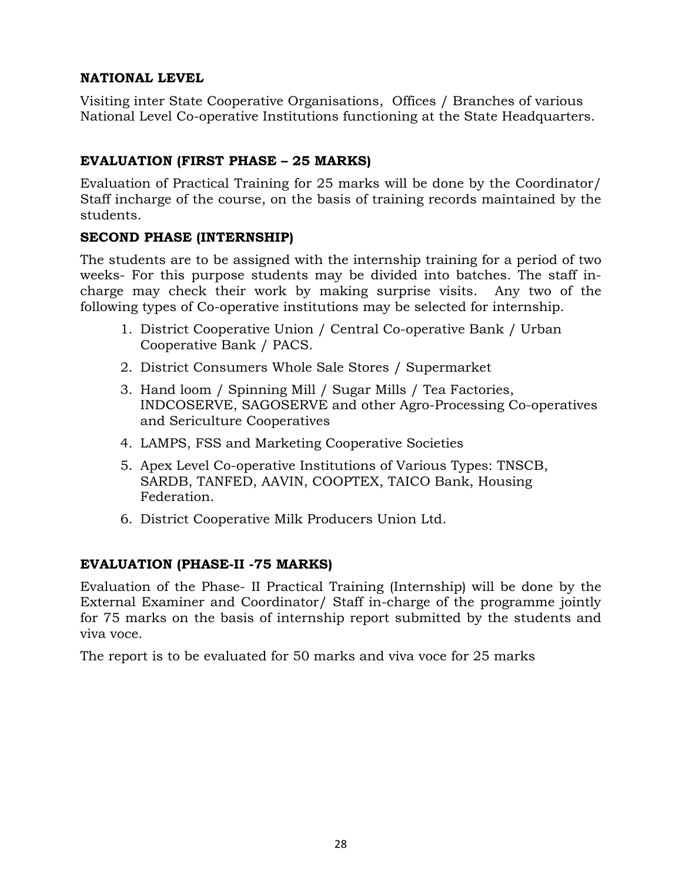# **NATIONAL LEVEL**

Visiting inter State Cooperative Organisations, Offices / Branches of various National Level Co-operative Institutions functioning at the State Headquarters.

# **EVALUATION (FIRST PHASE – 25 MARKS)**

Evaluation of Practical Training for 25 marks will be done by the Coordinator/ Staff incharge of the course, on the basis of training records maintained by the students.

## **SECOND PHASE (INTERNSHIP)**

The students are to be assigned with the internship training for a period of two weeks- For this purpose students may be divided into batches. The staff incharge may check their work by making surprise visits. Any two of the following types of Co-operative institutions may be selected for internship.

- 1. District Cooperative Union / Central Co-operative Bank / Urban Cooperative Bank / PACS.
- 2. District Consumers Whole Sale Stores / Supermarket
- 3. Hand loom / Spinning Mill / Sugar Mills / Tea Factories, INDCOSERVE, SAGOSERVE and other Agro-Processing Co-operatives and Sericulture Cooperatives
- 4. LAMPS, FSS and Marketing Cooperative Societies
- 5. Apex Level Co-operative Institutions of Various Types: TNSCB, SARDB, TANFED, AAVIN, COOPTEX, TAICO Bank, Housing Federation.
- 6. District Cooperative Milk Producers Union Ltd.

# **EVALUATION (PHASE-II -75 MARKS)**

Evaluation of the Phase- II Practical Training (Internship) will be done by the External Examiner and Coordinator/ Staff in-charge of the programme jointly for 75 marks on the basis of internship report submitted by the students and viva voce.

The report is to be evaluated for 50 marks and viva voce for 25 marks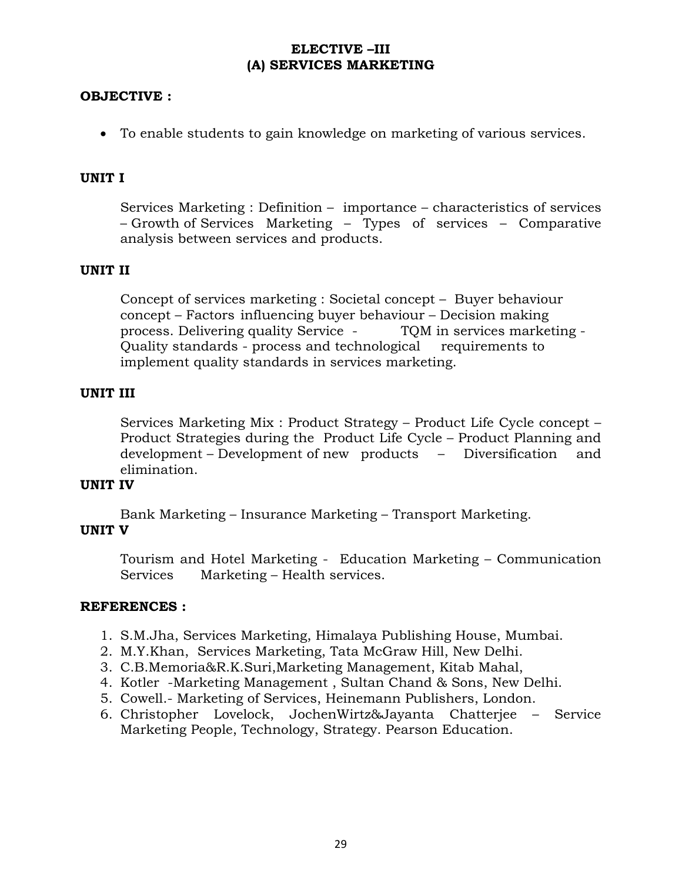## **ELECTIVE –III (A) SERVICES MARKETING**

## **OBJECTIVE :**

• To enable students to gain knowledge on marketing of various services.

## **UNIT I**

Services Marketing : Definition – importance – characteristics of services – Growth of Services Marketing – Types of services – Comparative analysis between services and products.

## **UNIT II**

Concept of services marketing : Societal concept – Buyer behaviour concept – Factors influencing buyer behaviour – Decision making process. Delivering quality Service - TQM in services marketing - Quality standards - process and technological requirements to implement quality standards in services marketing.

## **UNIT III**

 Services Marketing Mix : Product Strategy – Product Life Cycle concept – Product Strategies during the Product Life Cycle – Product Planning and development – Development of new products – Diversification and elimination.

## **UNIT IV**

Bank Marketing – Insurance Marketing – Transport Marketing.

## **UNIT V**

Tourism and Hotel Marketing - Education Marketing – Communication Services Marketing – Health services.

- 1. S.M.Jha, Services Marketing, Himalaya Publishing House, Mumbai.
- 2. M.Y.Khan, Services Marketing, Tata McGraw Hill, New Delhi.
- 3. C.B.Memoria&R.K.Suri,Marketing Management, Kitab Mahal,
- 4. Kotler -Marketing Management , Sultan Chand & Sons, New Delhi.
- 5. Cowell.- Marketing of Services, Heinemann Publishers, London.
- 6. Christopher Lovelock, JochenWirtz&Jayanta Chatterjee Service Marketing People, Technology, Strategy. Pearson Education.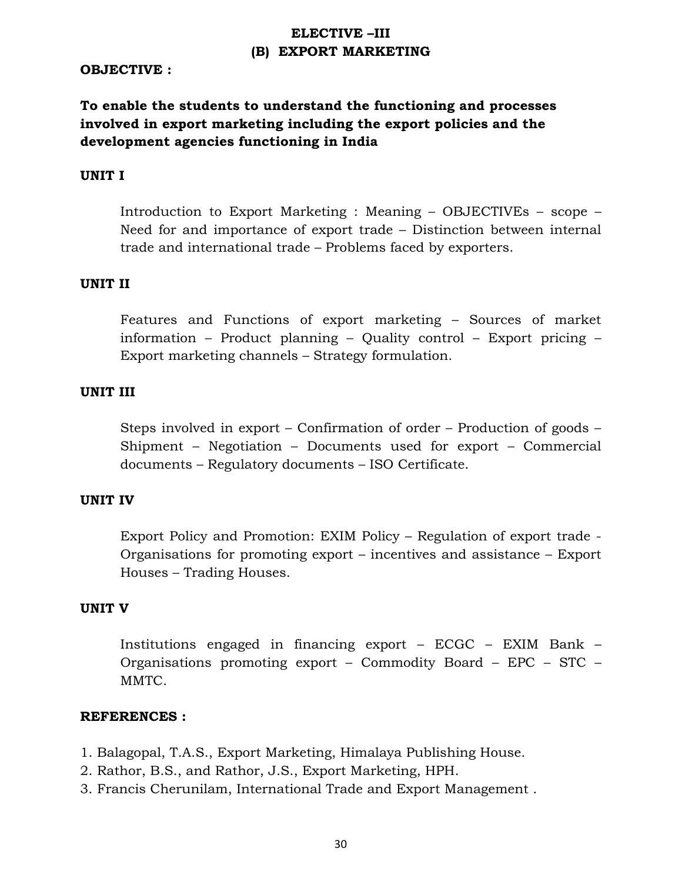# **ELECTIVE –III (B) EXPORT MARKETING**

### **OBJECTIVE :**

# **To enable the students to understand the functioning and processes involved in export marketing including the export policies and the development agencies functioning in India**

#### **UNIT I**

Introduction to Export Marketing : Meaning – OBJECTIVEs – scope – Need for and importance of export trade – Distinction between internal trade and international trade – Problems faced by exporters.

#### **UNIT II**

Features and Functions of export marketing – Sources of market information – Product planning – Quality control – Export pricing – Export marketing channels – Strategy formulation.

#### **UNIT III**

Steps involved in export – Confirmation of order – Production of goods – Shipment – Negotiation – Documents used for export – Commercial documents – Regulatory documents – ISO Certificate.

#### **UNIT IV**

Export Policy and Promotion: EXIM Policy – Regulation of export trade - Organisations for promoting export – incentives and assistance – Export Houses – Trading Houses.

#### **UNIT V**

Institutions engaged in financing export – ECGC – EXIM Bank – Organisations promoting export – Commodity Board – EPC – STC – MMTC.

- 1. Balagopal, T.A.S., Export Marketing, Himalaya Publishing House.
- 2. Rathor, B.S., and Rathor, J.S., Export Marketing, HPH.
- 3. Francis Cherunilam, International Trade and Export Management .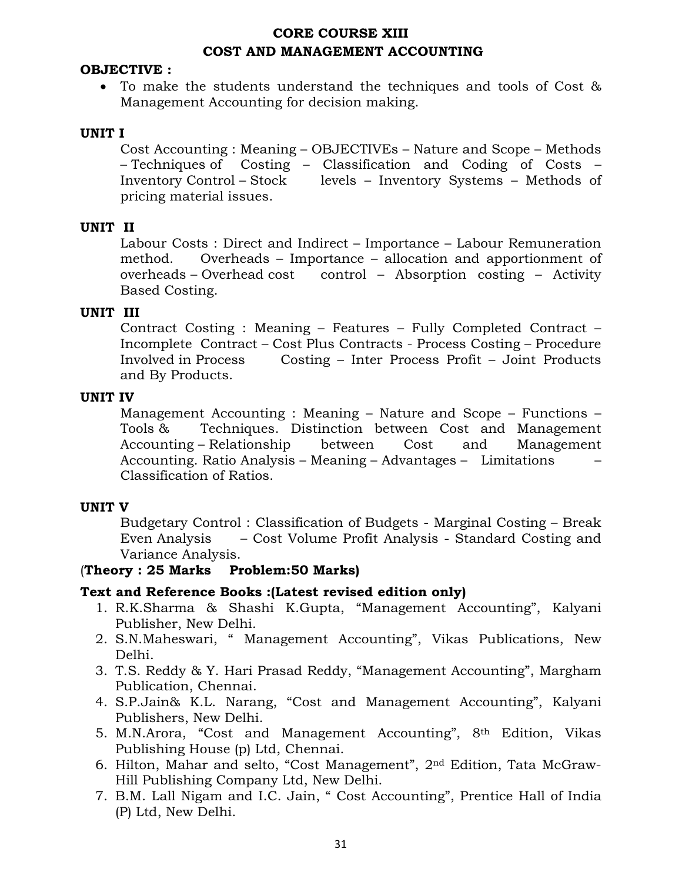# **CORE COURSE XIII COST AND MANAGEMENT ACCOUNTING**

## **OBJECTIVE :**

• To make the students understand the techniques and tools of Cost & Management Accounting for decision making.

## **UNIT I**

Cost Accounting : Meaning – OBJECTIVEs – Nature and Scope – Methods – Techniques of Costing – Classification and Coding of Costs – Inventory Control – Stock levels – Inventory Systems – Methods of pricing material issues.

## **UNIT II**

Labour Costs : Direct and Indirect – Importance – Labour Remuneration method. Overheads – Importance – allocation and apportionment of overheads – Overhead cost control – Absorption costing – Activity Based Costing.

## **UNIT III**

Contract Costing : Meaning – Features – Fully Completed Contract – Incomplete Contract – Cost Plus Contracts - Process Costing – Procedure Involved in Process Costing – Inter Process Profit – Joint Products and By Products.

### **UNIT IV**

Management Accounting : Meaning – Nature and Scope – Functions – Tools & Techniques. Distinction between Cost and Management Accounting – Relationship between Cost and Management Accounting. Ratio Analysis – Meaning – Advantages – Limitations – Classification of Ratios.

### **UNIT V**

Budgetary Control : Classification of Budgets - Marginal Costing – Break Even Analysis – Cost Volume Profit Analysis - Standard Costing and Variance Analysis.

### (**Theory : 25 Marks Problem:50 Marks)**

### **Text and Reference Books :(Latest revised edition only)**

- 1. R.K.Sharma & Shashi K.Gupta, "Management Accounting", Kalyani Publisher, New Delhi.
- 2. S.N.Maheswari, " Management Accounting", Vikas Publications, New Delhi.
- 3. T.S. Reddy & Y. Hari Prasad Reddy, "Management Accounting", Margham Publication, Chennai.
- 4. S.P.Jain& K.L. Narang, "Cost and Management Accounting", Kalyani Publishers, New Delhi.
- 5. M.N.Arora, "Cost and Management Accounting", 8th Edition, Vikas Publishing House (p) Ltd, Chennai.
- 6. Hilton, Mahar and selto, "Cost Management", 2nd Edition, Tata McGraw-Hill Publishing Company Ltd, New Delhi.
- 7. B.M. Lall Nigam and I.C. Jain, " Cost Accounting", Prentice Hall of India (P) Ltd, New Delhi.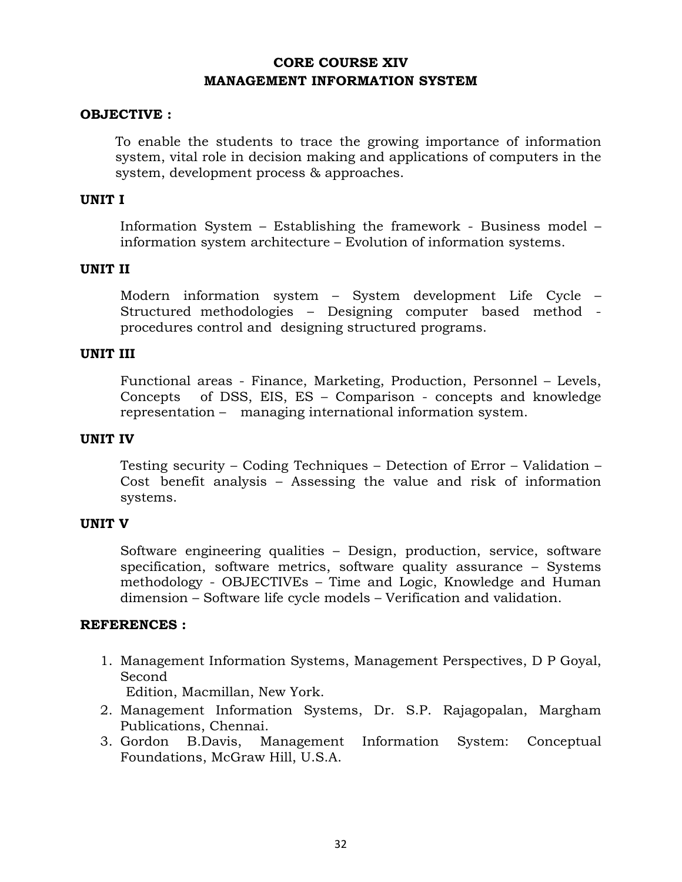# **CORE COURSE XIV MANAGEMENT INFORMATION SYSTEM**

## **OBJECTIVE :**

To enable the students to trace the growing importance of information system, vital role in decision making and applications of computers in the system, development process & approaches.

### **UNIT I**

 Information System – Establishing the framework - Business model – information system architecture – Evolution of information systems.

## **UNIT II**

 Modern information system – System development Life Cycle – Structured methodologies – Designing computer based method procedures control and designing structured programs.

### **UNIT III**

Functional areas - Finance, Marketing, Production, Personnel – Levels, Concepts of DSS, EIS, ES – Comparison - concepts and knowledge representation – managing international information system.

### **UNIT IV**

 Testing security – Coding Techniques – Detection of Error – Validation – Cost benefit analysis – Assessing the value and risk of information systems.

### **UNIT V**

 Software engineering qualities – Design, production, service, software specification, software metrics, software quality assurance – Systems methodology - OBJECTIVEs – Time and Logic, Knowledge and Human dimension – Software life cycle models – Verification and validation.

## **REFERENCES :**

1. Management Information Systems, Management Perspectives, D P Goyal, Second

Edition, Macmillan, New York.

- 2. Management Information Systems, Dr. S.P. Rajagopalan, Margham Publications, Chennai.
- 3. Gordon B.Davis, Management Information System: Conceptual Foundations, McGraw Hill, U.S.A.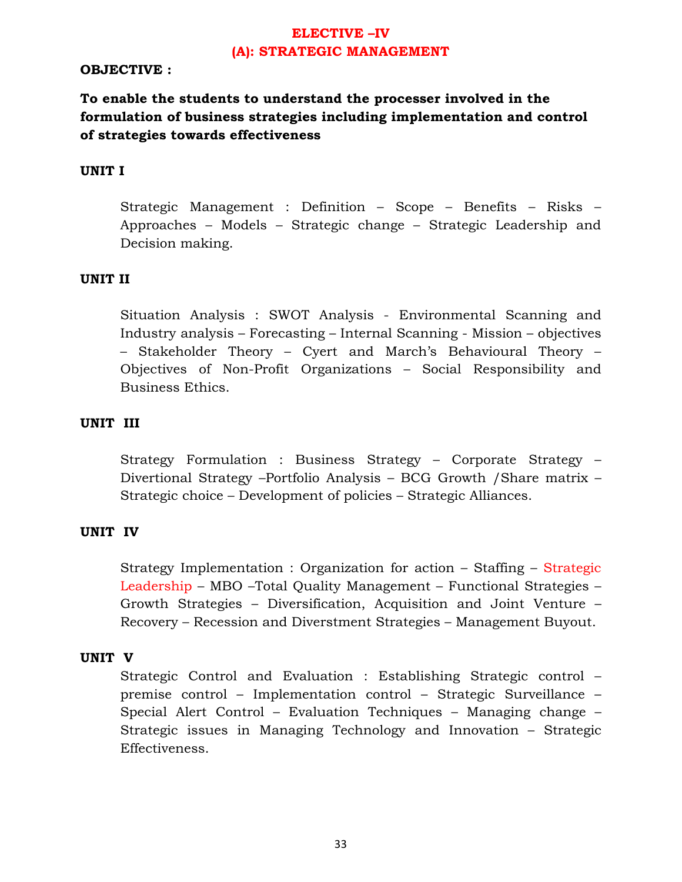# **ELECTIVE –IV (A): STRATEGIC MANAGEMENT**

## **OBJECTIVE :**

# **To enable the students to understand the processer involved in the formulation of business strategies including implementation and control of strategies towards effectiveness**

### **UNIT I**

Strategic Management : Definition – Scope – Benefits – Risks – Approaches – Models – Strategic change – Strategic Leadership and Decision making.

#### **UNIT II**

Situation Analysis : SWOT Analysis - Environmental Scanning and Industry analysis – Forecasting – Internal Scanning - Mission – objectives – Stakeholder Theory – Cyert and March's Behavioural Theory – Objectives of Non-Profit Organizations – Social Responsibility and Business Ethics.

## **UNIT III**

Strategy Formulation : Business Strategy – Corporate Strategy – Divertional Strategy –Portfolio Analysis – BCG Growth /Share matrix – Strategic choice – Development of policies – Strategic Alliances.

#### **UNIT IV**

Strategy Implementation : Organization for action – Staffing – Strategic Leadership – MBO –Total Quality Management – Functional Strategies – Growth Strategies – Diversification, Acquisition and Joint Venture – Recovery – Recession and Diverstment Strategies – Management Buyout.

#### **UNIT V**

Strategic Control and Evaluation : Establishing Strategic control – premise control – Implementation control – Strategic Surveillance – Special Alert Control – Evaluation Techniques – Managing change – Strategic issues in Managing Technology and Innovation – Strategic Effectiveness.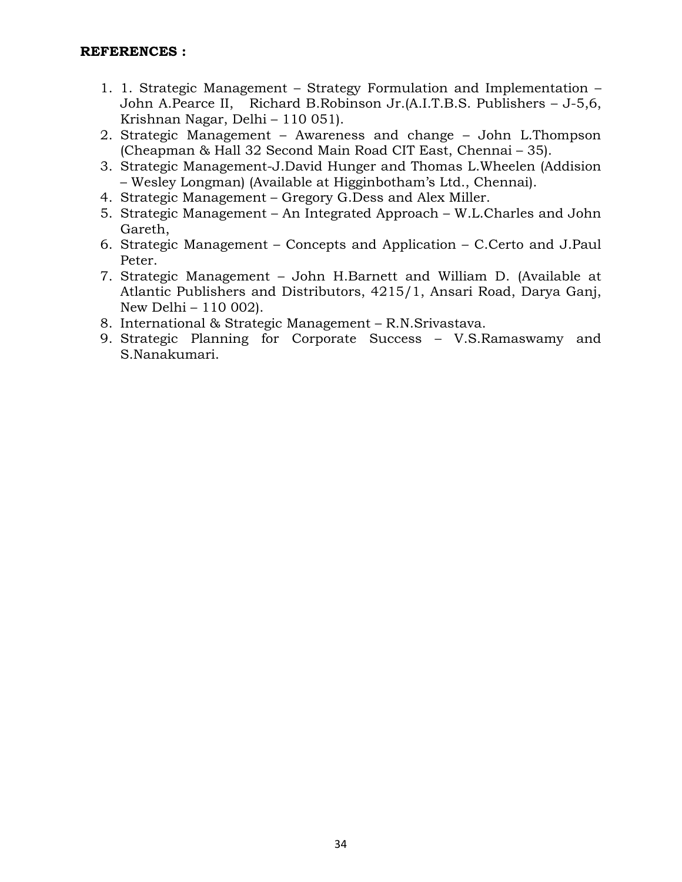- 1. 1. Strategic Management Strategy Formulation and Implementation John A.Pearce II, Richard B.Robinson Jr.(A.I.T.B.S. Publishers – J-5,6, Krishnan Nagar, Delhi – 110 051).
- 2. Strategic Management Awareness and change John L.Thompson (Cheapman & Hall 32 Second Main Road CIT East, Chennai – 35).
- 3. Strategic Management-J.David Hunger and Thomas L.Wheelen (Addision – Wesley Longman) (Available at Higginbotham's Ltd., Chennai).
- 4. Strategic Management Gregory G.Dess and Alex Miller.
- 5. Strategic Management An Integrated Approach W.L.Charles and John Gareth,
- 6. Strategic Management Concepts and Application C.Certo and J.Paul Peter.
- 7. Strategic Management John H.Barnett and William D. (Available at Atlantic Publishers and Distributors, 4215/1, Ansari Road, Darya Ganj, New Delhi – 110 002).
- 8. International & Strategic Management R.N.Srivastava.
- 9. Strategic Planning for Corporate Success V.S.Ramaswamy and S.Nanakumari.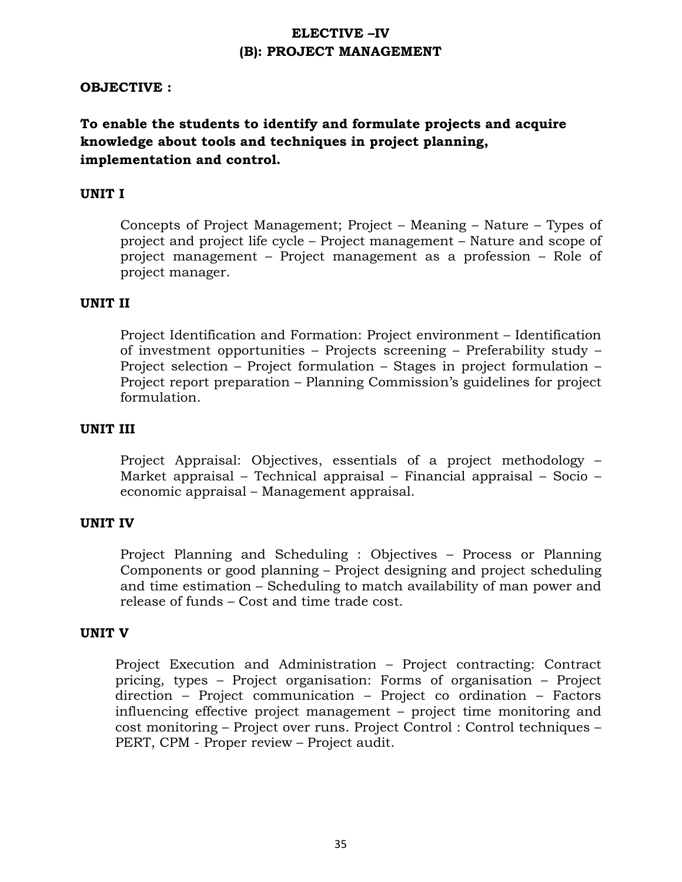# **ELECTIVE –IV (B): PROJECT MANAGEMENT**

## **OBJECTIVE :**

# **To enable the students to identify and formulate projects and acquire knowledge about tools and techniques in project planning, implementation and control.**

## **UNIT I**

Concepts of Project Management; Project – Meaning – Nature – Types of project and project life cycle – Project management – Nature and scope of project management – Project management as a profession – Role of project manager.

### **UNIT II**

Project Identification and Formation: Project environment – Identification of investment opportunities – Projects screening – Preferability study – Project selection – Project formulation – Stages in project formulation – Project report preparation – Planning Commission's guidelines for project formulation.

## **UNIT III**

Project Appraisal: Objectives, essentials of a project methodology – Market appraisal – Technical appraisal – Financial appraisal – Socio – economic appraisal – Management appraisal.

#### **UNIT IV**

Project Planning and Scheduling : Objectives – Process or Planning Components or good planning – Project designing and project scheduling and time estimation – Scheduling to match availability of man power and release of funds – Cost and time trade cost.

#### **UNIT V**

Project Execution and Administration – Project contracting: Contract pricing, types – Project organisation: Forms of organisation – Project direction – Project communication – Project co ordination – Factors influencing effective project management – project time monitoring and cost monitoring – Project over runs. Project Control : Control techniques – PERT, CPM - Proper review – Project audit.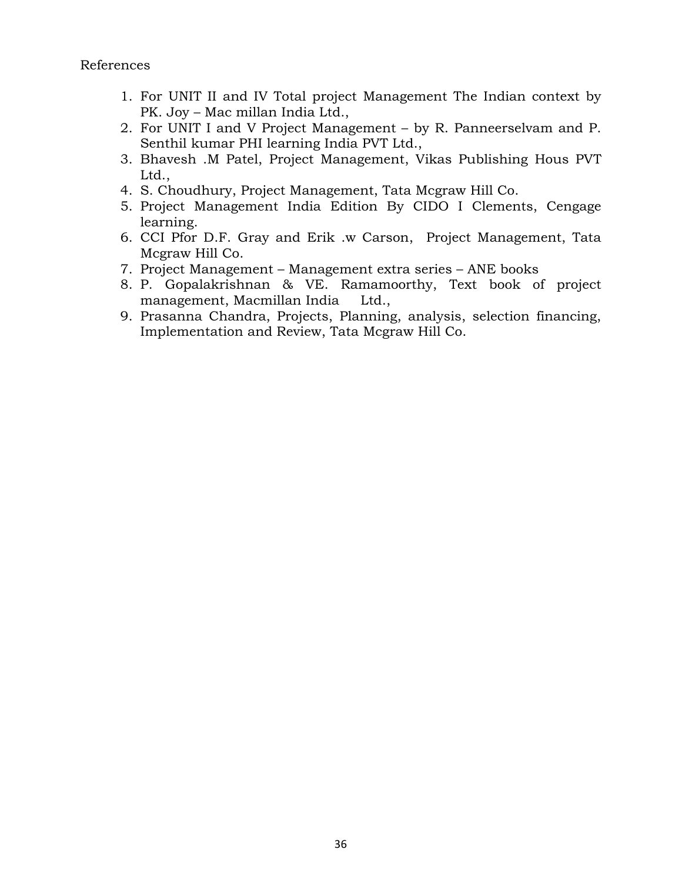- 1. For UNIT II and IV Total project Management The Indian context by PK. Joy – Mac millan India Ltd.,
- 2. For UNIT I and V Project Management by R. Panneerselvam and P. Senthil kumar PHI learning India PVT Ltd.,
- 3. Bhavesh .M Patel, Project Management, Vikas Publishing Hous PVT Ltd.,
- 4. S. Choudhury, Project Management, Tata Mcgraw Hill Co.
- 5. Project Management India Edition By CIDO I Clements, Cengage learning.
- 6. CCI Pfor D.F. Gray and Erik .w Carson, Project Management, Tata Mcgraw Hill Co.
- 7. Project Management Management extra series ANE books
- 8. P. Gopalakrishnan & VE. Ramamoorthy, Text book of project management, Macmillan India Ltd.,
- 9. Prasanna Chandra, Projects, Planning, analysis, selection financing, Implementation and Review, Tata Mcgraw Hill Co.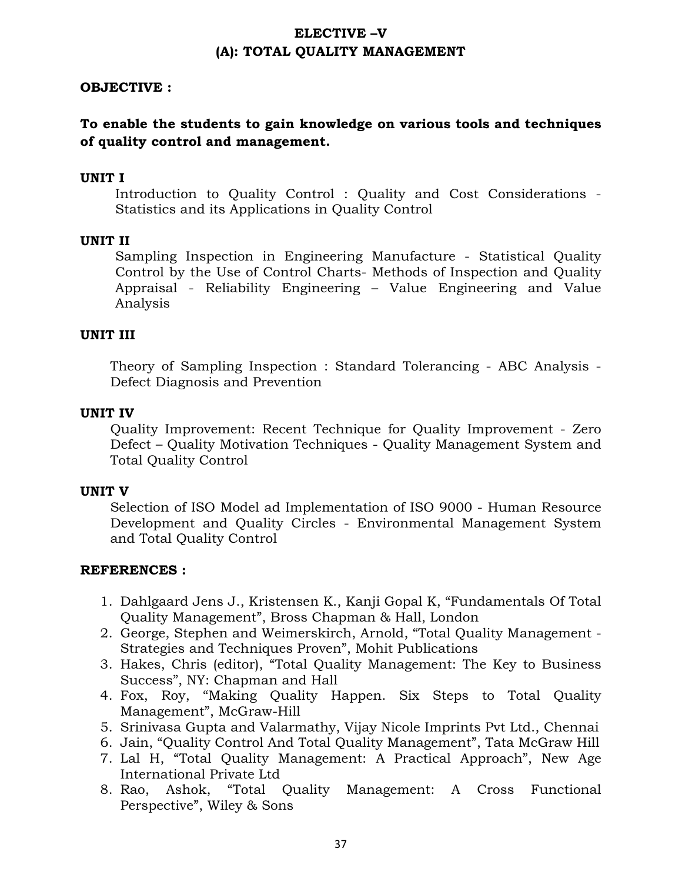# **ELECTIVE –V (A): TOTAL QUALITY MANAGEMENT**

## **OBJECTIVE :**

## **To enable the students to gain knowledge on various tools and techniques of quality control and management.**

## **UNIT I**

Introduction to Quality Control : Quality and Cost Considerations - Statistics and its Applications in Quality Control

### **UNIT II**

Sampling Inspection in Engineering Manufacture - Statistical Quality Control by the Use of Control Charts- Methods of Inspection and Quality Appraisal - Reliability Engineering – Value Engineering and Value Analysis

### **UNIT III**

Theory of Sampling Inspection : Standard Tolerancing - ABC Analysis - Defect Diagnosis and Prevention

### **UNIT IV**

Quality Improvement: Recent Technique for Quality Improvement - Zero Defect – Quality Motivation Techniques - Quality Management System and Total Quality Control

### **UNIT V**

Selection of ISO Model ad Implementation of ISO 9000 - Human Resource Development and Quality Circles - Environmental Management System and Total Quality Control

- 1. Dahlgaard Jens J., Kristensen K., Kanji Gopal K, "Fundamentals Of Total Quality Management", Bross Chapman & Hall, London
- 2. George, Stephen and Weimerskirch, Arnold, "Total Quality Management Strategies and Techniques Proven", Mohit Publications
- 3. Hakes, Chris (editor), "Total Quality Management: The Key to Business Success", NY: Chapman and Hall
- 4. Fox, Roy, "Making Quality Happen. Six Steps to Total Quality Management", McGraw-Hill
- 5. Srinivasa Gupta and Valarmathy, Vijay Nicole Imprints Pvt Ltd., Chennai
- 6. Jain, "Quality Control And Total Quality Management", Tata McGraw Hill
- 7. Lal H, "Total Quality Management: A Practical Approach", New Age International Private Ltd
- 8. Rao, Ashok, "Total Quality Management: A Cross Functional Perspective", Wiley & Sons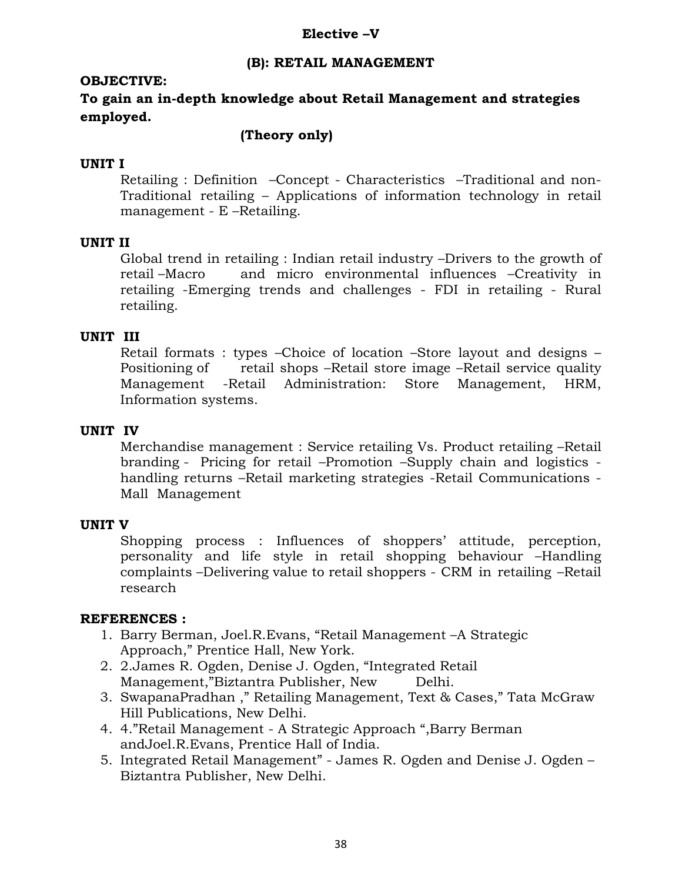### **Elective –V**

## **(B): RETAIL MANAGEMENT**

## **OBJECTIVE:**

**To gain an in-depth knowledge about Retail Management and strategies employed.** 

## **(Theory only)**

## **UNIT I**

 Retailing : Definition –Concept - Characteristics –Traditional and non-Traditional retailing – Applications of information technology in retail management - E –Retailing.

## **UNIT II**

 Global trend in retailing : Indian retail industry –Drivers to the growth of retail –Macro and micro environmental influences –Creativity in retailing -Emerging trends and challenges - FDI in retailing - Rural retailing.

## **UNIT III**

 Retail formats : types –Choice of location –Store layout and designs – Positioning of retail shops –Retail store image –Retail service quality Management -Retail Administration: Store Management, HRM, Information systems.

## **UNIT IV**

 Merchandise management : Service retailing Vs. Product retailing –Retail branding - Pricing for retail –Promotion –Supply chain and logistics handling returns –Retail marketing strategies -Retail Communications - Mall Management

### **UNIT V**

 Shopping process : Influences of shoppers' attitude, perception, personality and life style in retail shopping behaviour –Handling complaints –Delivering value to retail shoppers - CRM in retailing –Retail research

- 1. Barry Berman, Joel.R.Evans, "Retail Management –A Strategic Approach," Prentice Hall, New York.
- 2. 2.James R. Ogden, Denise J. Ogden, "Integrated Retail Management,"Biztantra Publisher, New Delhi.
- 3. SwapanaPradhan ," Retailing Management, Text & Cases," Tata McGraw Hill Publications, New Delhi.
- 4. 4."Retail Management A Strategic Approach ",Barry Berman andJoel.R.Evans, Prentice Hall of India.
- 5. Integrated Retail Management" James R. Ogden and Denise J. Ogden Biztantra Publisher, New Delhi.